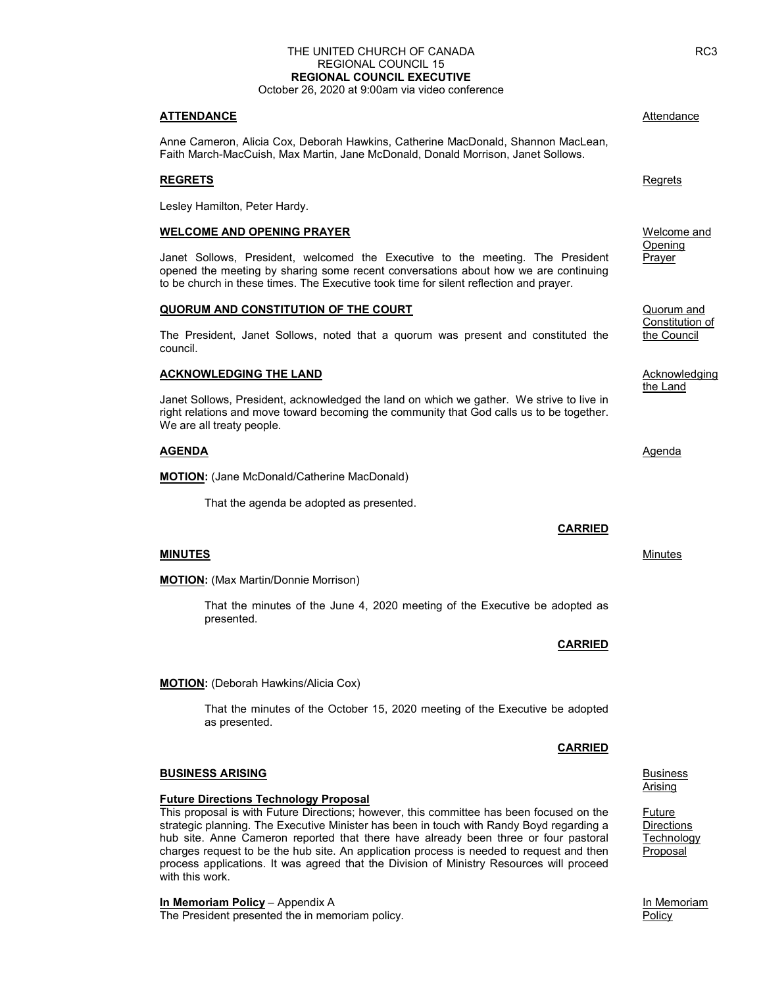#### THE UNITED CHURCH OF CANADA REGIONAL COUNCIL 15 REGIONAL COUNCIL EXECUTIVE October 26, 2020 at 9:00am via video conference

ATTENDANCE Attendance Attendance and Attendance and Attendance Attendance

 Anne Cameron, Alicia Cox, Deborah Hawkins, Catherine MacDonald, Shannon MacLean, Faith March-MacCuish, Max Martin, Jane McDonald, Donald Morrison, Janet Sollows.

#### **REGRETS** Regression and the contract of the contract of the contract of the contract of the contract of the contract of the contract of the contract of the contract of the contract of the contract of the contract of the c

Lesley Hamilton, Peter Hardy.

#### WELCOME AND OPENING PRAYER

Janet Sollows, President, welcomed the Executive to the meeting. The President opened the meeting by sharing some recent conversations about how we are continuing to be church in these times. The Executive took time for silent reflection and prayer.

#### QUORUM AND CONSTITUTION OF THE COURT Quorum and

 The President, Janet Sollows, noted that a quorum was present and constituted the council.

#### ACKNOWLEDGING THE LAND Acknowledging and the LAND Acknowledging

Janet Sollows, President, acknowledged the land on which we gather. We strive to live in right relations and move toward becoming the community that God calls us to be together. We are all treaty people.

#### **AGENDA** and *Agenda* and *Agenda* and *Agenda* and *Agenda* and *Agenda* and *Agenda*

**MOTION:** (Jane McDonald/Catherine MacDonald)

That the agenda be adopted as presented.

#### **MINUTES** MINUTES **MINUTES** MINUTES **MINUTES MINUTES MINUTES MINUTES MINUTES**

**MOTION:** (Max Martin/Donnie Morrison)

 That the minutes of the June 4, 2020 meeting of the Executive be adopted as presented.

#### **MOTION:** (Deborah Hawkins/Alicia Cox)

 That the minutes of the October 15, 2020 meeting of the Executive be adopted as presented.

#### **BUSINESS ARISING** BUSINESS ARISING

#### Future Directions Technology Proposal

 This proposal is with Future Directions; however, this committee has been focused on the strategic planning. The Executive Minister has been in touch with Randy Boyd regarding a hub site. Anne Cameron reported that there have already been three or four pastoral charges request to be the hub site. An application process is needed to request and then process applications. It was agreed that the Division of Ministry Resources will proceed with this work.

In Memoriam Policy – Appendix A **In Memoriam** In Memoriam **In Memoriam** The President presented the in memoriam policy. The example of the example of the Policy Policy

 Welcome and **Opening Prayer** 

**Constitution of the Constitution of the Constitution of Constitution of Constitution of Constitution of Constitution of Constitution of Constitution of Constitution of Constitution of Constitution of Constitution of Const** the Council

the Land

#### **CARRIED**

CARRIED

<u>Arising and the contract of the contract of the contract of the contract of the contract of the contract of the con</u>

**Future Directions Technology** Proposal

# CARRIED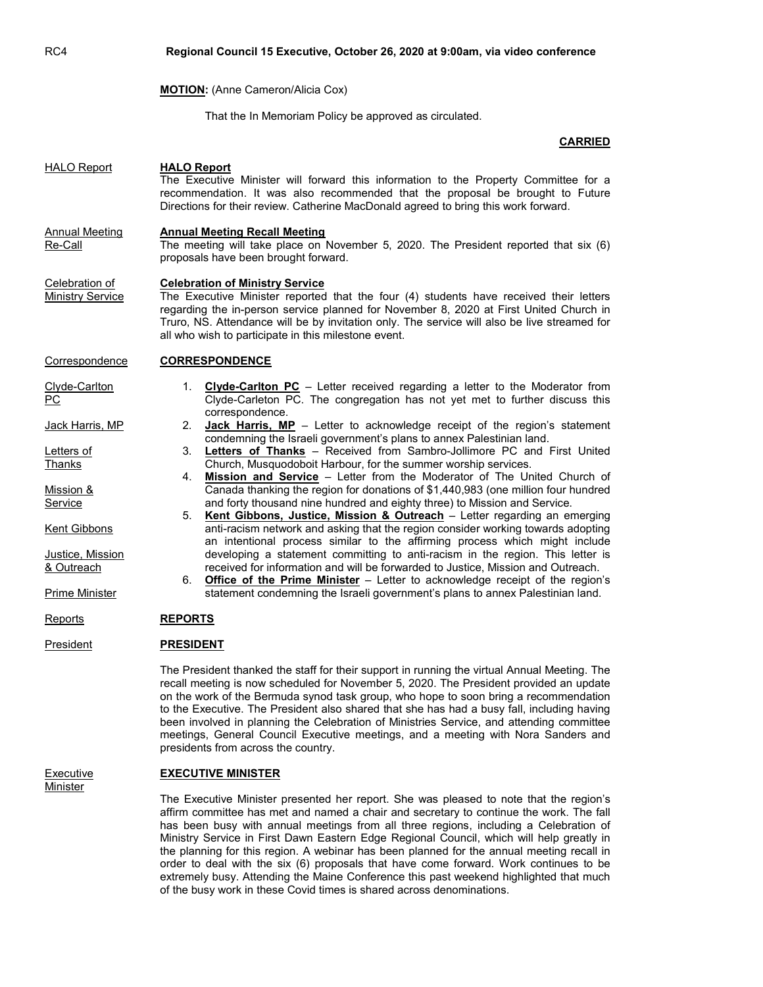|                                                                                                                                                                                 | <b>MOTION:</b> (Anne Cameron/Alicia Cox)                                                                                                                                                                                                                                                                                                                                                                                                                                                                                                                                                                                                                                                                                                                                                                                                                                                                                                                                                                                                                                                                                                                                                                                                                                                                                                                                 |
|---------------------------------------------------------------------------------------------------------------------------------------------------------------------------------|--------------------------------------------------------------------------------------------------------------------------------------------------------------------------------------------------------------------------------------------------------------------------------------------------------------------------------------------------------------------------------------------------------------------------------------------------------------------------------------------------------------------------------------------------------------------------------------------------------------------------------------------------------------------------------------------------------------------------------------------------------------------------------------------------------------------------------------------------------------------------------------------------------------------------------------------------------------------------------------------------------------------------------------------------------------------------------------------------------------------------------------------------------------------------------------------------------------------------------------------------------------------------------------------------------------------------------------------------------------------------|
|                                                                                                                                                                                 | That the In Memoriam Policy be approved as circulated.                                                                                                                                                                                                                                                                                                                                                                                                                                                                                                                                                                                                                                                                                                                                                                                                                                                                                                                                                                                                                                                                                                                                                                                                                                                                                                                   |
|                                                                                                                                                                                 | <b>CARRIED</b>                                                                                                                                                                                                                                                                                                                                                                                                                                                                                                                                                                                                                                                                                                                                                                                                                                                                                                                                                                                                                                                                                                                                                                                                                                                                                                                                                           |
| <b>HALO Report</b><br><b>Annual Meeting</b><br>Re-Call                                                                                                                          | <b>HALO Report</b><br>The Executive Minister will forward this information to the Property Committee for a<br>recommendation. It was also recommended that the proposal be brought to Future<br>Directions for their review. Catherine MacDonald agreed to bring this work forward.<br><b>Annual Meeting Recall Meeting</b><br>The meeting will take place on November 5, 2020. The President reported that six (6)<br>proposals have been brought forward.                                                                                                                                                                                                                                                                                                                                                                                                                                                                                                                                                                                                                                                                                                                                                                                                                                                                                                              |
| Celebration of<br><b>Ministry Service</b>                                                                                                                                       | <b>Celebration of Ministry Service</b><br>The Executive Minister reported that the four (4) students have received their letters<br>regarding the in-person service planned for November 8, 2020 at First United Church in<br>Truro, NS. Attendance will be by invitation only. The service will also be live streamed for<br>all who wish to participate in this milestone event.                                                                                                                                                                                                                                                                                                                                                                                                                                                                                                                                                                                                                                                                                                                                                                                                                                                                                                                                                                                       |
| Correspondence                                                                                                                                                                  | <b>CORRESPONDENCE</b>                                                                                                                                                                                                                                                                                                                                                                                                                                                                                                                                                                                                                                                                                                                                                                                                                                                                                                                                                                                                                                                                                                                                                                                                                                                                                                                                                    |
| Clyde-Carlton<br><b>PC</b><br>Jack Harris, MP<br>Letters of<br>Thanks<br>Mission &<br>Service<br><b>Kent Gibbons</b><br>Justice, Mission<br>& Outreach<br><b>Prime Minister</b> | <b>Clyde-Carlton PC</b> – Letter received regarding a letter to the Moderator from<br>1.<br>Clyde-Carleton PC. The congregation has not yet met to further discuss this<br>correspondence.<br>2.<br><b>Jack Harris, MP</b> – Letter to acknowledge receipt of the region's statement<br>condemning the Israeli government's plans to annex Palestinian land.<br>3. Letters of Thanks - Received from Sambro-Jollimore PC and First United<br>Church, Musquodoboit Harbour, for the summer worship services.<br>Mission and Service - Letter from the Moderator of The United Church of<br>4.<br>Canada thanking the region for donations of \$1,440,983 (one million four hundred<br>and forty thousand nine hundred and eighty three) to Mission and Service.<br>Kent Gibbons, Justice, Mission & Outreach - Letter regarding an emerging<br>5.<br>anti-racism network and asking that the region consider working towards adopting<br>an intentional process similar to the affirming process which might include<br>developing a statement committing to anti-racism in the region. This letter is<br>received for information and will be forwarded to Justice, Mission and Outreach.<br><b>Office of the Prime Minister</b> – Letter to acknowledge receipt of the region's<br>6.<br>statement condemning the Israeli government's plans to annex Palestinian land. |
| <u>Reports</u>                                                                                                                                                                  | <b>REPORTS</b>                                                                                                                                                                                                                                                                                                                                                                                                                                                                                                                                                                                                                                                                                                                                                                                                                                                                                                                                                                                                                                                                                                                                                                                                                                                                                                                                                           |
| President                                                                                                                                                                       | <b>PRESIDENT</b>                                                                                                                                                                                                                                                                                                                                                                                                                                                                                                                                                                                                                                                                                                                                                                                                                                                                                                                                                                                                                                                                                                                                                                                                                                                                                                                                                         |
|                                                                                                                                                                                 | The President thanked the staff for their support in running the virtual Annual Meeting. The<br>recall meeting is now scheduled for November 5, 2020. The President provided an update<br>on the work of the Bermuda synod task group, who hope to soon bring a recommendation<br>to the Executive. The President also shared that she has had a busy fall, including having<br>been involved in planning the Celebration of Ministries Service, and attending committee                                                                                                                                                                                                                                                                                                                                                                                                                                                                                                                                                                                                                                                                                                                                                                                                                                                                                                 |

RC4 Regional Council 15 Executive, October 26, 2020 at 9:00am, via video conference

# **Minister**

# Executive **EXECUTIVE MINISTER**

presidents from across the country.

 The Executive Minister presented her report. She was pleased to note that the region's affirm committee has met and named a chair and secretary to continue the work. The fall has been busy with annual meetings from all three regions, including a Celebration of Ministry Service in First Dawn Eastern Edge Regional Council, which will help greatly in the planning for this region. A webinar has been planned for the annual meeting recall in order to deal with the six (6) proposals that have come forward. Work continues to be extremely busy. Attending the Maine Conference this past weekend highlighted that much of the busy work in these Covid times is shared across denominations.

meetings, General Council Executive meetings, and a meeting with Nora Sanders and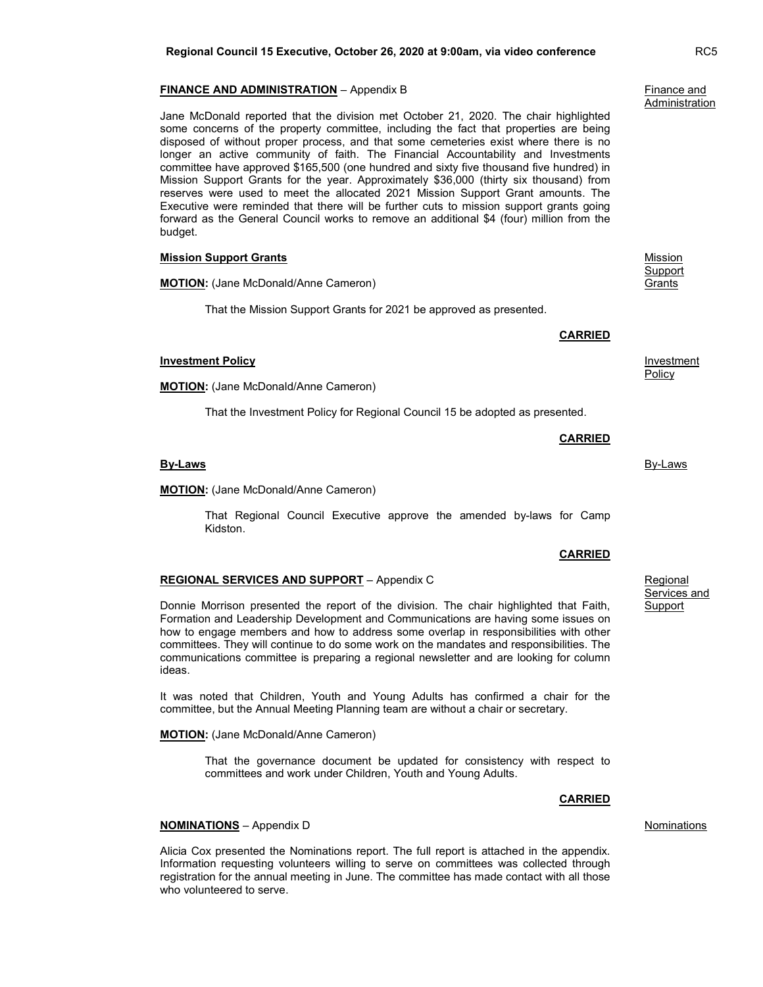#### **FINANCE AND ADMINISTRATION** – Appendix B Finance and **Finance and**

 Jane McDonald reported that the division met October 21, 2020. The chair highlighted some concerns of the property committee, including the fact that properties are being disposed of without proper process, and that some cemeteries exist where there is no longer an active community of faith. The Financial Accountability and Investments committee have approved \$165,500 (one hundred and sixty five thousand five hundred) in Mission Support Grants for the year. Approximately \$36,000 (thirty six thousand) from reserves were used to meet the allocated 2021 Mission Support Grant amounts. The Executive were reminded that there will be further cuts to mission support grants going forward as the General Council works to remove an additional \$4 (four) million from the budget.

| <b>Mission Support Grants</b> |  |
|-------------------------------|--|
|                               |  |

**MOTION:** (Jane McDonald/Anne Cameron)

That the Mission Support Grants for 2021 be approved as presented.

CARRIED

CARRIED

**Investment Policy Investment Policy** Policy

**Mission Support Grants** 

That the Investment Policy for Regional Council 15 be adopted as presented.

**By-Laws By-Laws** 

MOTION: (Jane McDonald/Anne Cameron)

MOTION: (Jane McDonald/Anne Cameron)

 That Regional Council Executive approve the amended by-laws for Camp Kidston.

## REGIONAL SERVICES AND SUPPORT - Appendix C<br>REGIONAL SERVICES AND SUPPORT - Appendix C

 Donnie Morrison presented the report of the division. The chair highlighted that Faith, Formation and Leadership Development and Communications are having some issues on how to engage members and how to address some overlap in responsibilities with other committees. They will continue to do some work on the mandates and responsibilities. The communications committee is preparing a regional newsletter and are looking for column ideas.

 It was noted that Children, Youth and Young Adults has confirmed a chair for the committee, but the Annual Meeting Planning team are without a chair or secretary.

**MOTION:** (Jane McDonald/Anne Cameron)

 That the governance document be updated for consistency with respect to committees and work under Children, Youth and Young Adults.

CARRIED

#### **NOMINATIONS** – Appendix D Nominations

Alicia Cox presented the Nominations report. The full report is attached in the appendix. Information requesting volunteers willing to serve on committees was collected through registration for the annual meeting in June. The committee has made contact with all those who volunteered to serve.

## CARRIED

# Services and Support

# **Administration**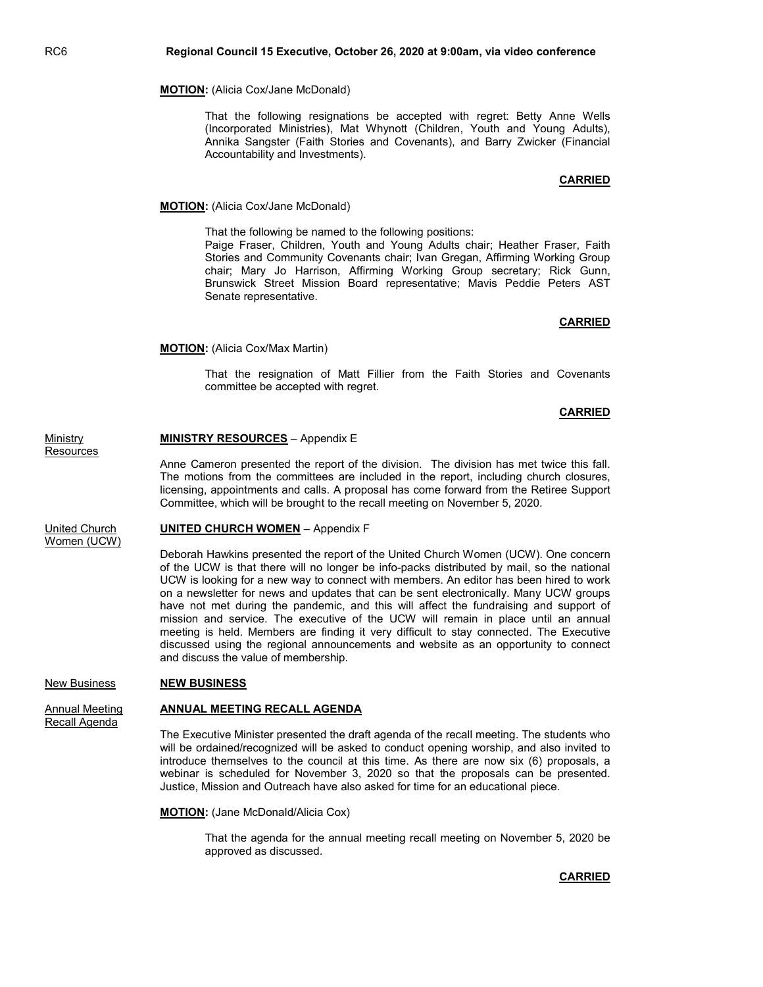#### MOTION: (Alicia Cox/Jane McDonald)

 That the following resignations be accepted with regret: Betty Anne Wells (Incorporated Ministries), Mat Whynott (Children, Youth and Young Adults), Annika Sangster (Faith Stories and Covenants), and Barry Zwicker (Financial Accountability and Investments).

### CARRIED

#### **MOTION:** (Alicia Cox/Jane McDonald)

That the following be named to the following positions:

 Paige Fraser, Children, Youth and Young Adults chair; Heather Fraser, Faith Stories and Community Covenants chair; Ivan Gregan, Affirming Working Group chair; Mary Jo Harrison, Affirming Working Group secretary; Rick Gunn, Brunswick Street Mission Board representative; Mavis Peddie Peters AST Senate representative.

#### CARRIED

MOTION: (Alicia Cox/Max Martin)

 That the resignation of Matt Fillier from the Faith Stories and Covenants committee be accepted with regret.

#### CARRIED

# Ministry **MINISTRY RESOURCES** – Appendix E

**Resources** 

Anne Cameron presented the report of the division. The division has met twice this fall. The motions from the committees are included in the report, including church closures, licensing, appointments and calls. A proposal has come forward from the Retiree Support Committee, which will be brought to the recall meeting on November 5, 2020.

#### United Church **UNITED CHURCH WOMEN** – Appendix F

Women (UCW)

Deborah Hawkins presented the report of the United Church Women (UCW). One concern of the UCW is that there will no longer be info-packs distributed by mail, so the national UCW is looking for a new way to connect with members. An editor has been hired to work on a newsletter for news and updates that can be sent electronically. Many UCW groups have not met during the pandemic, and this will affect the fundraising and support of mission and service. The executive of the UCW will remain in place until an annual meeting is held. Members are finding it very difficult to stay connected. The Executive discussed using the regional announcements and website as an opportunity to connect and discuss the value of membership.

#### New Business NEW BUSINESS

Recall Agenda

#### Annual Meeting **ANNUAL MEETING RECALL AGENDA**

The Executive Minister presented the draft agenda of the recall meeting. The students who will be ordained/recognized will be asked to conduct opening worship, and also invited to introduce themselves to the council at this time. As there are now six (6) proposals, a webinar is scheduled for November 3, 2020 so that the proposals can be presented. Justice, Mission and Outreach have also asked for time for an educational piece.

MOTION: (Jane McDonald/Alicia Cox)

 That the agenda for the annual meeting recall meeting on November 5, 2020 be approved as discussed.

#### CARRIED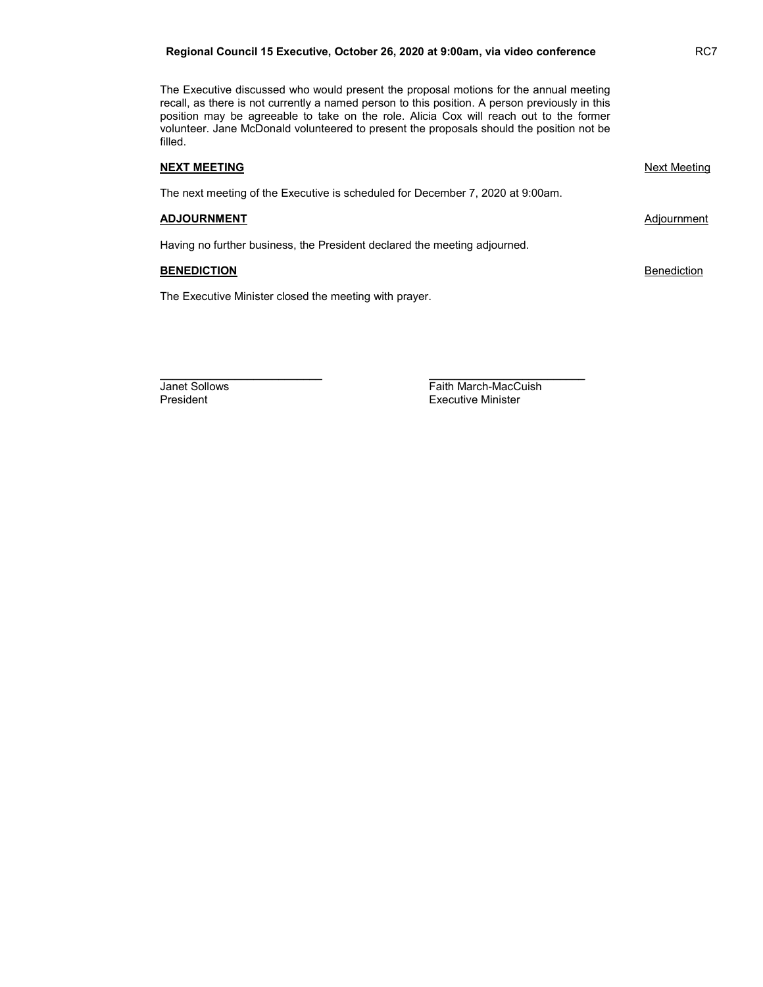#### Regional Council 15 Executive, October 26, 2020 at 9:00am, via video conference RC7

The Executive discussed who would present the proposal motions for the annual meeting recall, as there is not currently a named person to this position. A person previously in this position may be agreeable to take on the role. Alicia Cox will reach out to the former volunteer. Jane McDonald volunteered to present the proposals should the position not be filled.

#### NEXT MEETING NEXT MEETING NEXT AND A STRUCK AND A STRUCK MEETING NEXT MEETING NEXT AND A STRUCK MEETING OF STRUCK AND A STRUCK AND A STRUCK AND A STRUCK AND A STRUCK AND A STRUCK AND A STRUCK AND A STRUCK AND A STRUCK AND

The next meeting of the Executive is scheduled for December 7, 2020 at 9:00am.

\_\_\_\_\_\_\_\_\_\_\_\_\_\_\_\_\_\_\_\_\_\_\_\_\_\_ \_\_\_\_\_\_\_\_\_\_\_\_\_\_\_\_\_\_\_\_\_\_\_\_\_

#### ADJOURNMENT **ADJOURNMENT**

Having no further business, the President declared the meeting adjourned.

### **BENEDICTION** Benediction

The Executive Minister closed the meeting with prayer.

**Janet Sollows The Contract Sollows**<br>President Faith March-MacCuish<br>Faith March-MacCuish **Executive Minister**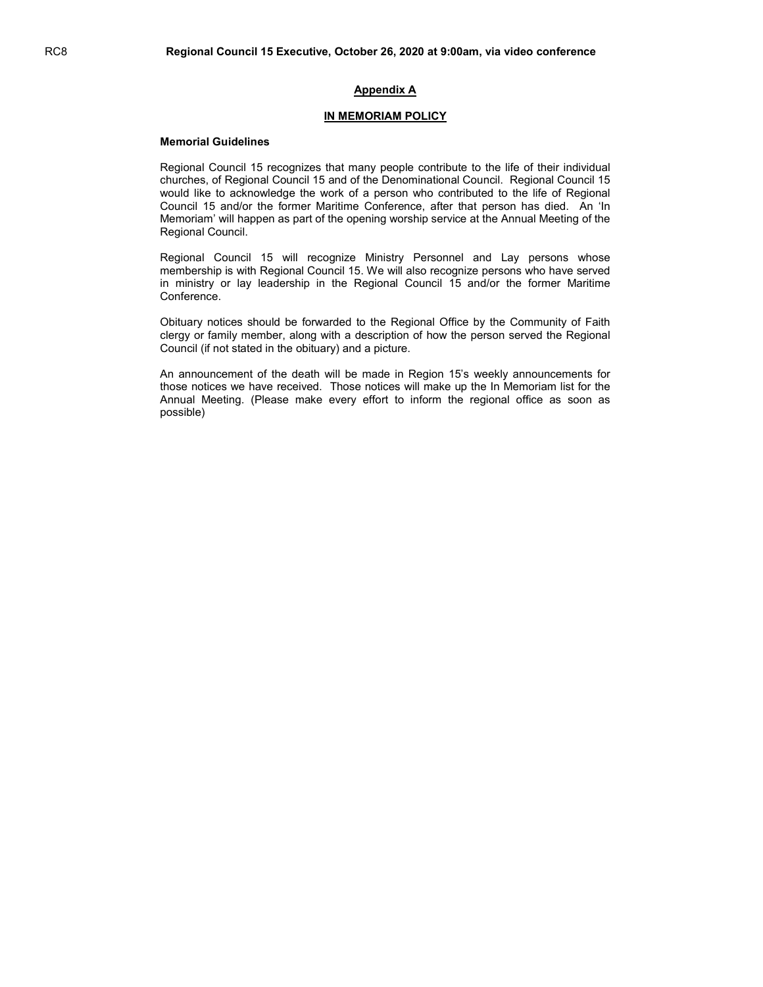## Appendix A

#### IN MEMORIAM POLICY

#### Memorial Guidelines

Regional Council 15 recognizes that many people contribute to the life of their individual churches, of Regional Council 15 and of the Denominational Council. Regional Council 15 would like to acknowledge the work of a person who contributed to the life of Regional Council 15 and/or the former Maritime Conference, after that person has died. An 'In Memoriam' will happen as part of the opening worship service at the Annual Meeting of the Regional Council.

Regional Council 15 will recognize Ministry Personnel and Lay persons whose membership is with Regional Council 15. We will also recognize persons who have served in ministry or lay leadership in the Regional Council 15 and/or the former Maritime Conference.

Obituary notices should be forwarded to the Regional Office by the Community of Faith clergy or family member, along with a description of how the person served the Regional Council (if not stated in the obituary) and a picture.

An announcement of the death will be made in Region 15's weekly announcements for those notices we have received. Those notices will make up the In Memoriam list for the Annual Meeting. (Please make every effort to inform the regional office as soon as possible)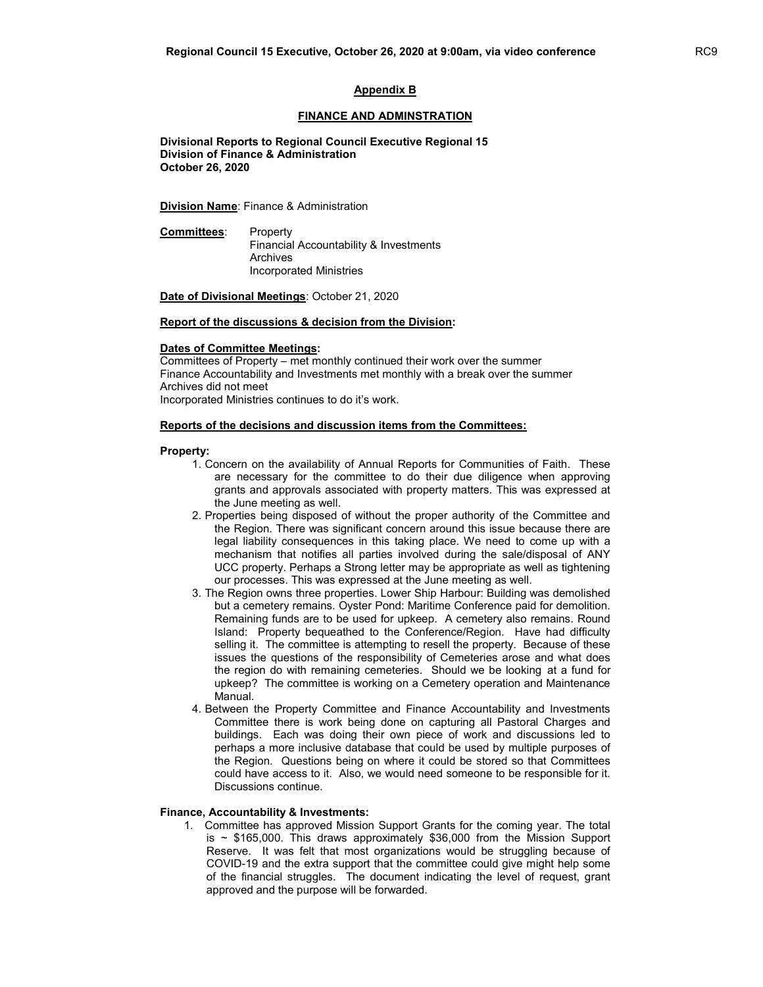#### Appendix B

#### FINANCE AND ADMINSTRATION

 Divisional Reports to Regional Council Executive Regional 15 Division of Finance & Administration October 26, 2020

**Division Name:** Finance & Administration

Committees: Property Financial Accountability & Investments Archives Incorporated Ministries

Date of Divisional Meetings: October 21, 2020

#### Report of the discussions & decision from the Division:

#### Dates of Committee Meetings:

Committees of Property – met monthly continued their work over the summer Finance Accountability and Investments met monthly with a break over the summer Archives did not meet Incorporated Ministries continues to do it's work.

#### Reports of the decisions and discussion items from the Committees:

#### Property:

- 1. Concern on the availability of Annual Reports for Communities of Faith. These are necessary for the committee to do their due diligence when approving grants and approvals associated with property matters. This was expressed at the June meeting as well.
- 2. Properties being disposed of without the proper authority of the Committee and the Region. There was significant concern around this issue because there are legal liability consequences in this taking place. We need to come up with a mechanism that notifies all parties involved during the sale/disposal of ANY UCC property. Perhaps a Strong letter may be appropriate as well as tightening our processes. This was expressed at the June meeting as well.
- 3. The Region owns three properties. Lower Ship Harbour: Building was demolished but a cemetery remains. Oyster Pond: Maritime Conference paid for demolition. Remaining funds are to be used for upkeep. A cemetery also remains. Round Island: Property bequeathed to the Conference/Region. Have had difficulty selling it. The committee is attempting to resell the property. Because of these issues the questions of the responsibility of Cemeteries arose and what does the region do with remaining cemeteries. Should we be looking at a fund for upkeep? The committee is working on a Cemetery operation and Maintenance Manual.
- 4. Between the Property Committee and Finance Accountability and Investments Committee there is work being done on capturing all Pastoral Charges and buildings. Each was doing their own piece of work and discussions led to perhaps a more inclusive database that could be used by multiple purposes of the Region. Questions being on where it could be stored so that Committees could have access to it. Also, we would need someone to be responsible for it. Discussions continue.

#### Finance, Accountability & Investments:

1. Committee has approved Mission Support Grants for the coming year. The total is  $\sim$  \$165,000. This draws approximately \$36,000 from the Mission Support Reserve. It was felt that most organizations would be struggling because of COVID-19 and the extra support that the committee could give might help some of the financial struggles. The document indicating the level of request, grant approved and the purpose will be forwarded.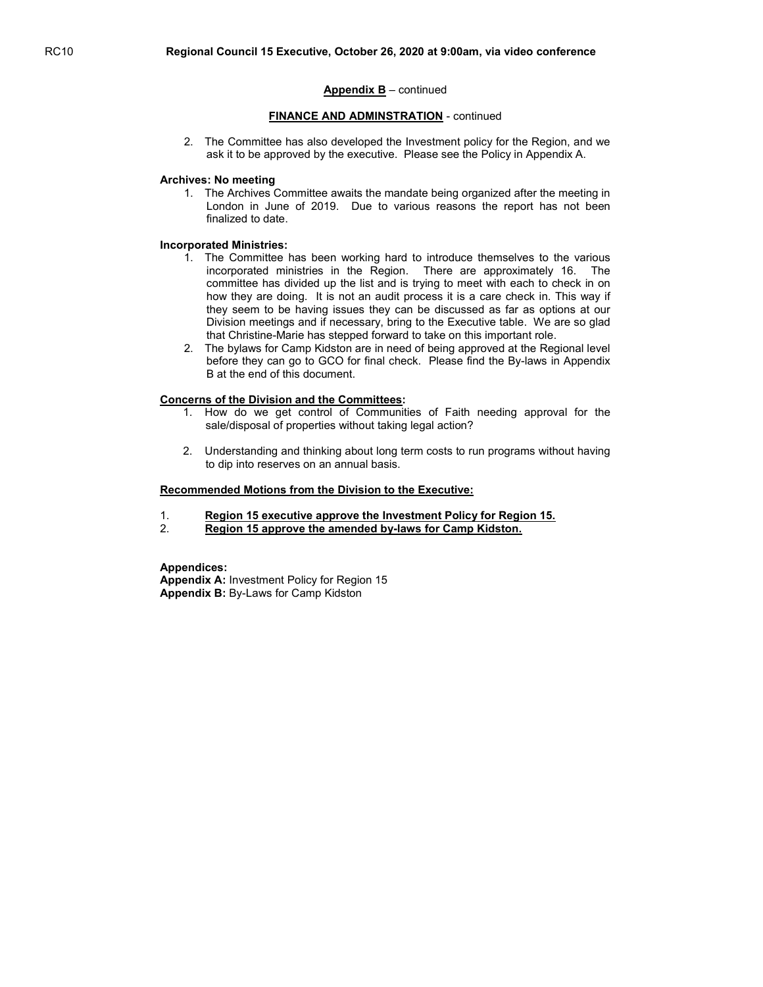#### FINANCE AND ADMINSTRATION - continued

2. The Committee has also developed the Investment policy for the Region, and we ask it to be approved by the executive. Please see the Policy in Appendix A.

#### Archives: No meeting

1. The Archives Committee awaits the mandate being organized after the meeting in London in June of 2019. Due to various reasons the report has not been finalized to date.

#### Incorporated Ministries:

- 1. The Committee has been working hard to introduce themselves to the various incorporated ministries in the Region. There are approximately 16. The committee has divided up the list and is trying to meet with each to check in on how they are doing. It is not an audit process it is a care check in. This way if they seem to be having issues they can be discussed as far as options at our Division meetings and if necessary, bring to the Executive table. We are so glad that Christine-Marie has stepped forward to take on this important role.
- 2. The bylaws for Camp Kidston are in need of being approved at the Regional level before they can go to GCO for final check. Please find the By-laws in Appendix B at the end of this document.

#### Concerns of the Division and the Committees:

- 1. How do we get control of Communities of Faith needing approval for the sale/disposal of properties without taking legal action?
- 2. Understanding and thinking about long term costs to run programs without having to dip into reserves on an annual basis.

#### Recommended Motions from the Division to the Executive:

- 1. Region 15 executive approve the Investment Policy for Region 15.
- 2. Region 15 approve the amended by-laws for Camp Kidston.

#### Appendices:

Appendix A: Investment Policy for Region 15 Appendix B: By-Laws for Camp Kidston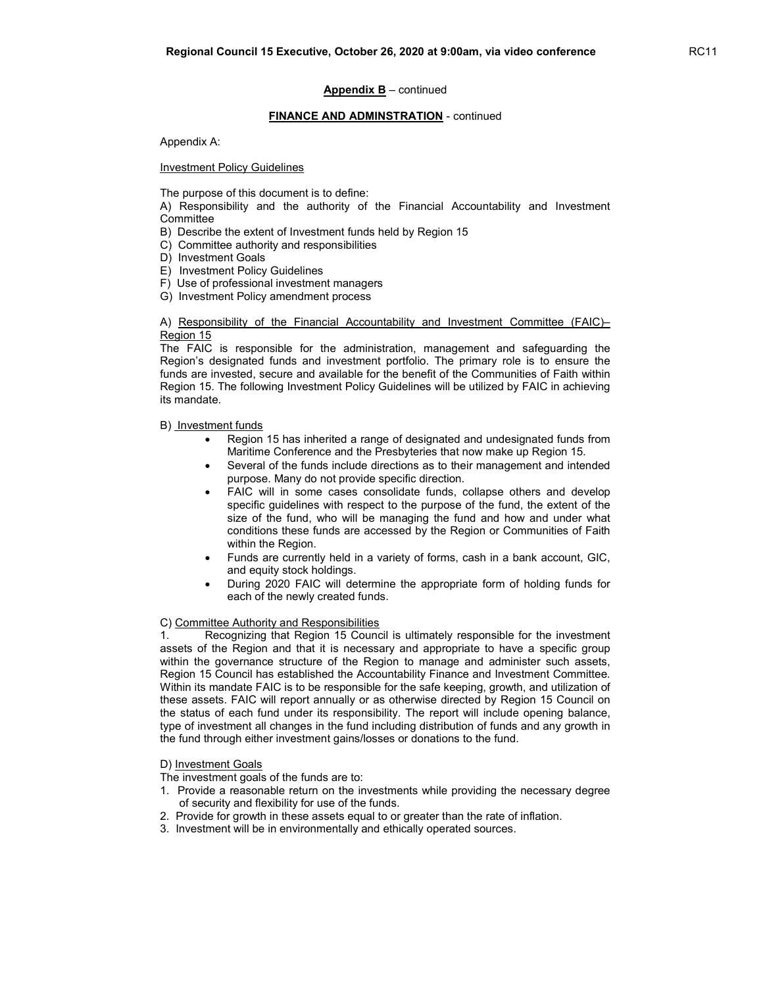#### FINANCE AND ADMINSTRATION - continued

Appendix A:

Investment Policy Guidelines

The purpose of this document is to define:

A) Responsibility and the authority of the Financial Accountability and Investment **Committee** 

- B) Describe the extent of Investment funds held by Region 15
- C) Committee authority and responsibilities
- D) Investment Goals
- E) Investment Policy Guidelines
- F) Use of professional investment managers
- G) Investment Policy amendment process

A) Responsibility of the Financial Accountability and Investment Committee (FAIC)– Region 15

The FAIC is responsible for the administration, management and safeguarding the Region's designated funds and investment portfolio. The primary role is to ensure the funds are invested, secure and available for the benefit of the Communities of Faith within Region 15. The following Investment Policy Guidelines will be utilized by FAIC in achieving its mandate.

B) Investment funds

- Region 15 has inherited a range of designated and undesignated funds from Maritime Conference and the Presbyteries that now make up Region 15.
- Several of the funds include directions as to their management and intended purpose. Many do not provide specific direction.
- FAIC will in some cases consolidate funds, collapse others and develop specific guidelines with respect to the purpose of the fund, the extent of the size of the fund, who will be managing the fund and how and under what conditions these funds are accessed by the Region or Communities of Faith within the Region.
- Funds are currently held in a variety of forms, cash in a bank account, GIC, and equity stock holdings.
- During 2020 FAIC will determine the appropriate form of holding funds for each of the newly created funds.

#### C) Committee Authority and Responsibilities

1. Recognizing that Region 15 Council is ultimately responsible for the investment assets of the Region and that it is necessary and appropriate to have a specific group within the governance structure of the Region to manage and administer such assets, Region 15 Council has established the Accountability Finance and Investment Committee. Within its mandate FAIC is to be responsible for the safe keeping, growth, and utilization of these assets. FAIC will report annually or as otherwise directed by Region 15 Council on the status of each fund under its responsibility. The report will include opening balance, type of investment all changes in the fund including distribution of funds and any growth in the fund through either investment gains/losses or donations to the fund.

D) Investment Goals

- The investment goals of the funds are to:
- 1. Provide a reasonable return on the investments while providing the necessary degree of security and flexibility for use of the funds.
- 2. Provide for growth in these assets equal to or greater than the rate of inflation.
- 3. Investment will be in environmentally and ethically operated sources.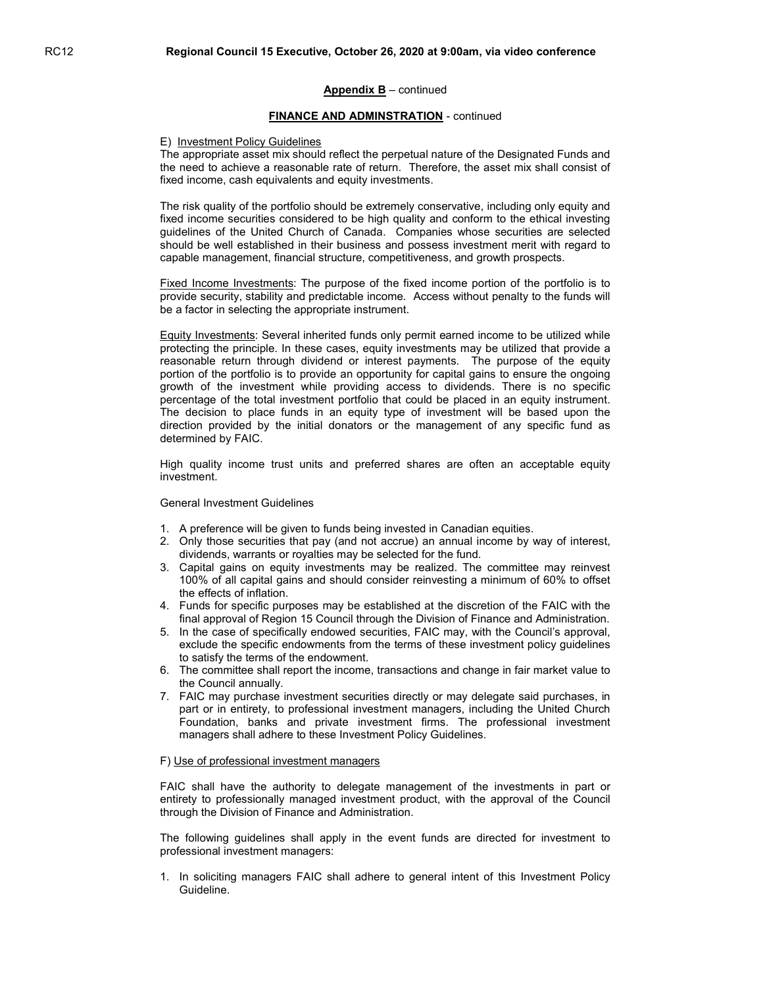#### FINANCE AND ADMINSTRATION - continued

#### E) Investment Policy Guidelines

The appropriate asset mix should reflect the perpetual nature of the Designated Funds and the need to achieve a reasonable rate of return. Therefore, the asset mix shall consist of fixed income, cash equivalents and equity investments.

The risk quality of the portfolio should be extremely conservative, including only equity and fixed income securities considered to be high quality and conform to the ethical investing guidelines of the United Church of Canada. Companies whose securities are selected should be well established in their business and possess investment merit with regard to capable management, financial structure, competitiveness, and growth prospects.

Fixed Income Investments: The purpose of the fixed income portion of the portfolio is to provide security, stability and predictable income. Access without penalty to the funds will be a factor in selecting the appropriate instrument.

Equity Investments: Several inherited funds only permit earned income to be utilized while protecting the principle. In these cases, equity investments may be utilized that provide a reasonable return through dividend or interest payments. The purpose of the equity portion of the portfolio is to provide an opportunity for capital gains to ensure the ongoing growth of the investment while providing access to dividends. There is no specific percentage of the total investment portfolio that could be placed in an equity instrument. The decision to place funds in an equity type of investment will be based upon the direction provided by the initial donators or the management of any specific fund as determined by FAIC.

High quality income trust units and preferred shares are often an acceptable equity investment.

#### General Investment Guidelines

- 1. A preference will be given to funds being invested in Canadian equities.
- 2. Only those securities that pay (and not accrue) an annual income by way of interest, dividends, warrants or royalties may be selected for the fund.
- 3. Capital gains on equity investments may be realized. The committee may reinvest 100% of all capital gains and should consider reinvesting a minimum of 60% to offset the effects of inflation.
- 4. Funds for specific purposes may be established at the discretion of the FAIC with the final approval of Region 15 Council through the Division of Finance and Administration.
- 5. In the case of specifically endowed securities, FAIC may, with the Council's approval, exclude the specific endowments from the terms of these investment policy guidelines to satisfy the terms of the endowment.
- 6. The committee shall report the income, transactions and change in fair market value to the Council annually.
- 7. FAIC may purchase investment securities directly or may delegate said purchases, in part or in entirety, to professional investment managers, including the United Church Foundation, banks and private investment firms. The professional investment managers shall adhere to these Investment Policy Guidelines.

#### F) Use of professional investment managers

FAIC shall have the authority to delegate management of the investments in part or entirety to professionally managed investment product, with the approval of the Council through the Division of Finance and Administration.

The following guidelines shall apply in the event funds are directed for investment to professional investment managers:

1. In soliciting managers FAIC shall adhere to general intent of this Investment Policy Guideline.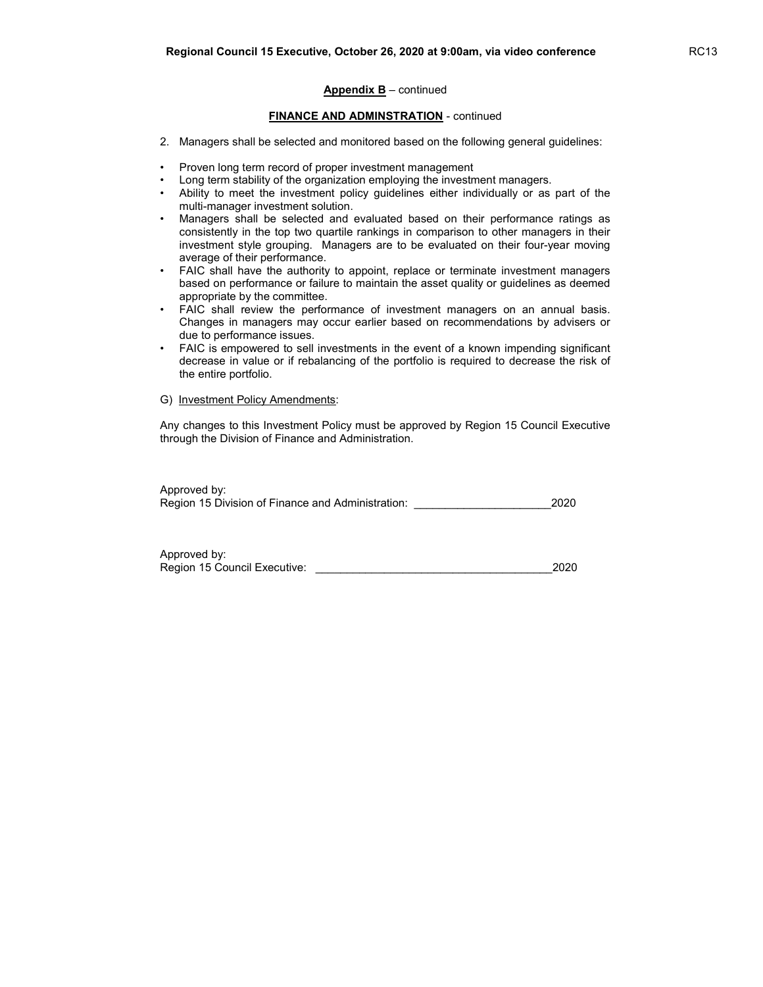# FINANCE AND ADMINSTRATION - continued

- 2. Managers shall be selected and monitored based on the following general guidelines:
- Proven long term record of proper investment management
- Long term stability of the organization employing the investment managers.
- Ability to meet the investment policy guidelines either individually or as part of the multi-manager investment solution.
- Managers shall be selected and evaluated based on their performance ratings as consistently in the top two quartile rankings in comparison to other managers in their investment style grouping. Managers are to be evaluated on their four-year moving average of their performance.
- FAIC shall have the authority to appoint, replace or terminate investment managers based on performance or failure to maintain the asset quality or guidelines as deemed appropriate by the committee.
- FAIC shall review the performance of investment managers on an annual basis. Changes in managers may occur earlier based on recommendations by advisers or due to performance issues.
- FAIC is empowered to sell investments in the event of a known impending significant decrease in value or if rebalancing of the portfolio is required to decrease the risk of the entire portfolio.

#### G) Investment Policy Amendments:

Any changes to this Investment Policy must be approved by Region 15 Council Executive through the Division of Finance and Administration.

| Approved by:                                      |      |
|---------------------------------------------------|------|
| Region 15 Division of Finance and Administration: | 2020 |

| Approved by:                 |      |
|------------------------------|------|
| Region 15 Council Executive: | 2020 |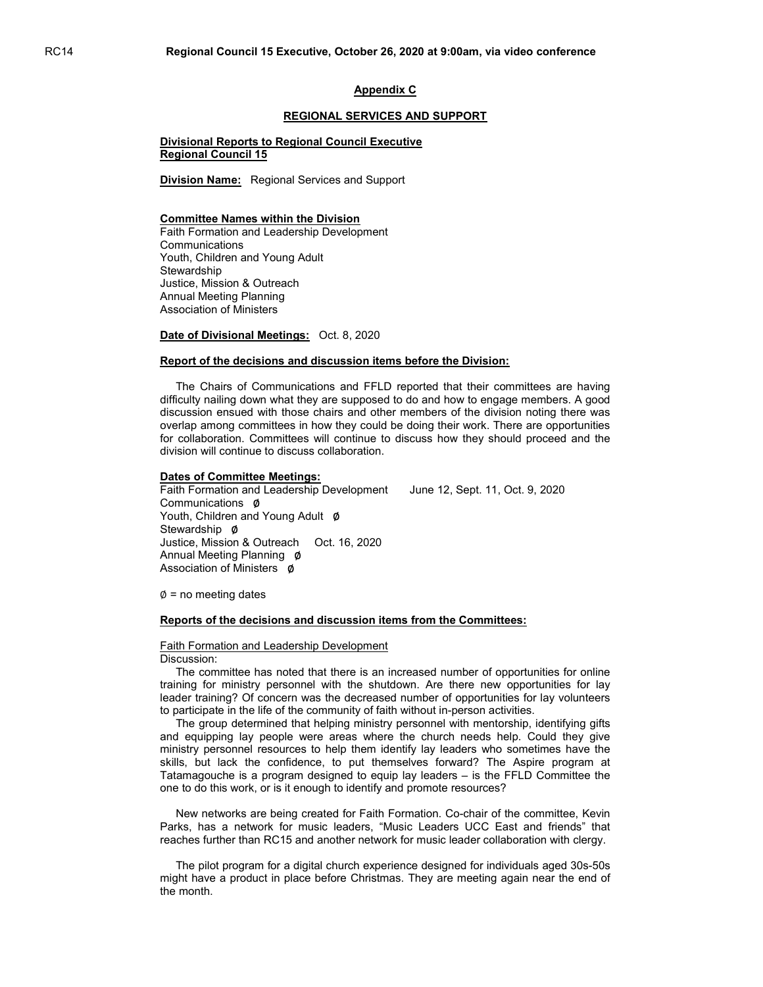#### Appendix C

#### REGIONAL SERVICES AND SUPPORT

#### Divisional Reports to Regional Council Executive Regional Council 15

Division Name: Regional Services and Support

#### Committee Names within the Division

Faith Formation and Leadership Development **Communications** Youth, Children and Young Adult **Stewardship** Justice, Mission & Outreach Annual Meeting Planning Association of Ministers

Date of Divisional Meetings: Oct. 8, 2020

#### Report of the decisions and discussion items before the Division:

 The Chairs of Communications and FFLD reported that their committees are having difficulty nailing down what they are supposed to do and how to engage members. A good discussion ensued with those chairs and other members of the division noting there was overlap among committees in how they could be doing their work. There are opportunities for collaboration. Committees will continue to discuss how they should proceed and the division will continue to discuss collaboration.

#### Dates of Committee Meetings:

Faith Formation and Leadership Development June 12, Sept. 11, Oct. 9, 2020 Communications ∅ Youth, Children and Young Adult Ø Stewardship Ø Justice, Mission & Outreach Oct. 16, 2020 Annual Meeting Planning Ø Association of Ministers Ø

 $\emptyset$  = no meeting dates

#### Reports of the decisions and discussion items from the Committees:

#### Faith Formation and Leadership Development Discussion:

 The committee has noted that there is an increased number of opportunities for online training for ministry personnel with the shutdown. Are there new opportunities for lay leader training? Of concern was the decreased number of opportunities for lay volunteers to participate in the life of the community of faith without in-person activities.

 The group determined that helping ministry personnel with mentorship, identifying gifts and equipping lay people were areas where the church needs help. Could they give ministry personnel resources to help them identify lay leaders who sometimes have the skills, but lack the confidence, to put themselves forward? The Aspire program at Tatamagouche is a program designed to equip lay leaders – is the FFLD Committee the one to do this work, or is it enough to identify and promote resources?

 New networks are being created for Faith Formation. Co-chair of the committee, Kevin Parks, has a network for music leaders, "Music Leaders UCC East and friends" that reaches further than RC15 and another network for music leader collaboration with clergy.

 The pilot program for a digital church experience designed for individuals aged 30s-50s might have a product in place before Christmas. They are meeting again near the end of the month.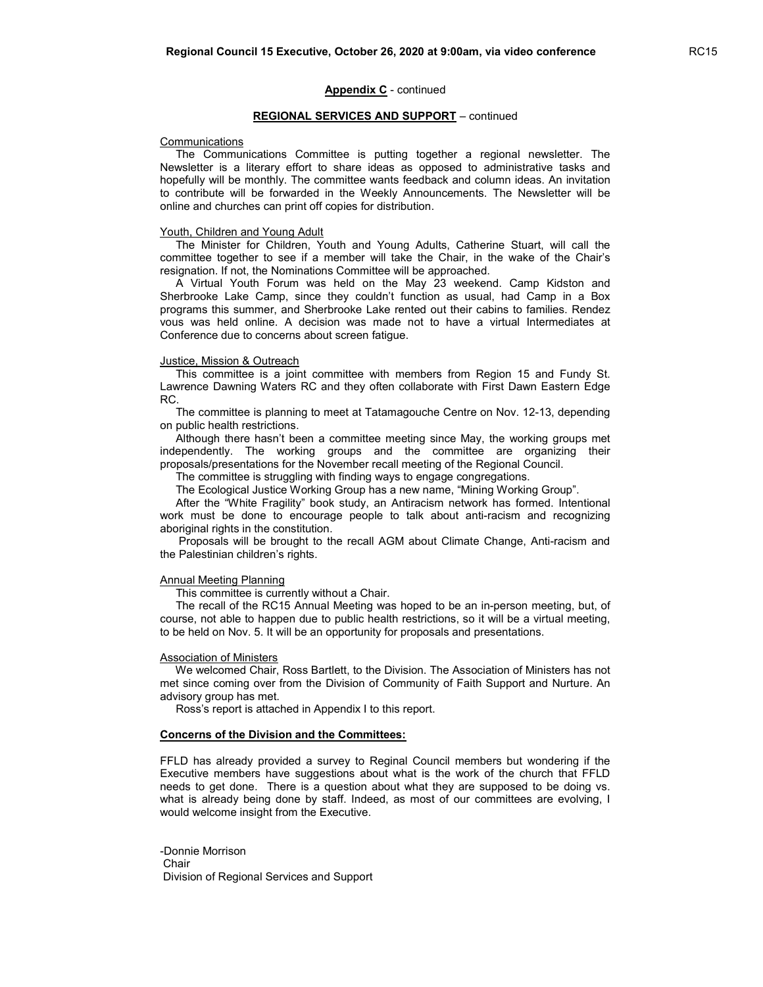#### REGIONAL SERVICES AND SUPPORT – continued

#### **Communications**

 The Communications Committee is putting together a regional newsletter. The Newsletter is a literary effort to share ideas as opposed to administrative tasks and hopefully will be monthly. The committee wants feedback and column ideas. An invitation to contribute will be forwarded in the Weekly Announcements. The Newsletter will be online and churches can print off copies for distribution.

#### Youth, Children and Young Adult

 The Minister for Children, Youth and Young Adults, Catherine Stuart, will call the committee together to see if a member will take the Chair, in the wake of the Chair's resignation. If not, the Nominations Committee will be approached.

 A Virtual Youth Forum was held on the May 23 weekend. Camp Kidston and Sherbrooke Lake Camp, since they couldn't function as usual, had Camp in a Box programs this summer, and Sherbrooke Lake rented out their cabins to families. Rendez vous was held online. A decision was made not to have a virtual Intermediates at Conference due to concerns about screen fatigue.

#### Justice, Mission & Outreach

 This committee is a joint committee with members from Region 15 and Fundy St. Lawrence Dawning Waters RC and they often collaborate with First Dawn Eastern Edge RC.

 The committee is planning to meet at Tatamagouche Centre on Nov. 12-13, depending on public health restrictions.

 Although there hasn't been a committee meeting since May, the working groups met independently. The working groups and the committee are organizing their proposals/presentations for the November recall meeting of the Regional Council.

The committee is struggling with finding ways to engage congregations.

The Ecological Justice Working Group has a new name, "Mining Working Group".

 After the "White Fragility" book study, an Antiracism network has formed. Intentional work must be done to encourage people to talk about anti-racism and recognizing aboriginal rights in the constitution.

 Proposals will be brought to the recall AGM about Climate Change, Anti-racism and the Palestinian children's rights.

#### Annual Meeting Planning

This committee is currently without a Chair.

 The recall of the RC15 Annual Meeting was hoped to be an in-person meeting, but, of course, not able to happen due to public health restrictions, so it will be a virtual meeting, to be held on Nov. 5. It will be an opportunity for proposals and presentations.

#### Association of Ministers

 We welcomed Chair, Ross Bartlett, to the Division. The Association of Ministers has not met since coming over from the Division of Community of Faith Support and Nurture. An advisory group has met.

Ross's report is attached in Appendix I to this report.

#### Concerns of the Division and the Committees:

FFLD has already provided a survey to Reginal Council members but wondering if the Executive members have suggestions about what is the work of the church that FFLD needs to get done. There is a question about what they are supposed to be doing vs. what is already being done by staff. Indeed, as most of our committees are evolving, I would welcome insight from the Executive.

-Donnie Morrison Chair Division of Regional Services and Support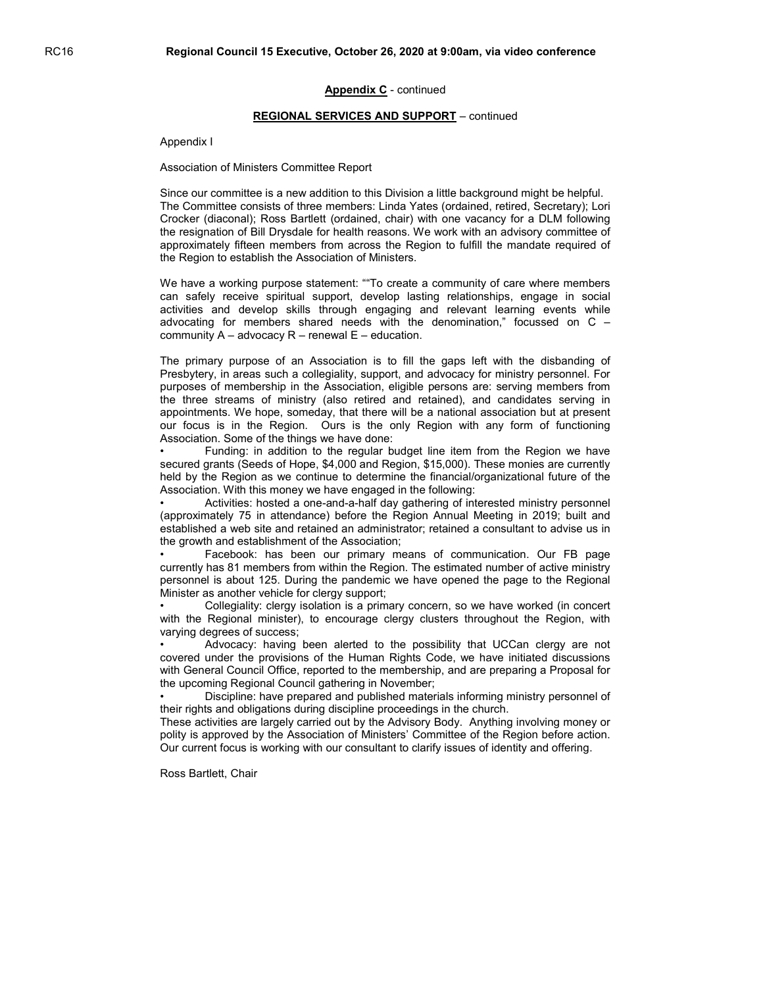#### REGIONAL SERVICES AND SUPPORT – continued

Appendix I

Association of Ministers Committee Report

Since our committee is a new addition to this Division a little background might be helpful. The Committee consists of three members: Linda Yates (ordained, retired, Secretary); Lori Crocker (diaconal); Ross Bartlett (ordained, chair) with one vacancy for a DLM following the resignation of Bill Drysdale for health reasons. We work with an advisory committee of approximately fifteen members from across the Region to fulfill the mandate required of the Region to establish the Association of Ministers.

We have a working purpose statement: ""To create a community of care where members can safely receive spiritual support, develop lasting relationships, engage in social activities and develop skills through engaging and relevant learning events while advocating for members shared needs with the denomination," focussed on C – community  $A -$  advocacy  $R -$  renewal  $E -$  education.

The primary purpose of an Association is to fill the gaps left with the disbanding of Presbytery, in areas such a collegiality, support, and advocacy for ministry personnel. For purposes of membership in the Association, eligible persons are: serving members from the three streams of ministry (also retired and retained), and candidates serving in appointments. We hope, someday, that there will be a national association but at present our focus is in the Region. Ours is the only Region with any form of functioning Association. Some of the things we have done:

• Funding: in addition to the regular budget line item from the Region we have secured grants (Seeds of Hope, \$4,000 and Region, \$15,000). These monies are currently held by the Region as we continue to determine the financial/organizational future of the Association. With this money we have engaged in the following:

• Activities: hosted a one-and-a-half day gathering of interested ministry personnel (approximately 75 in attendance) before the Region Annual Meeting in 2019; built and established a web site and retained an administrator; retained a consultant to advise us in the growth and establishment of the Association;

• Facebook: has been our primary means of communication. Our FB page currently has 81 members from within the Region. The estimated number of active ministry personnel is about 125. During the pandemic we have opened the page to the Regional Minister as another vehicle for clergy support;

• Collegiality: clergy isolation is a primary concern, so we have worked (in concert with the Regional minister), to encourage clergy clusters throughout the Region, with varying degrees of success;

Advocacy: having been alerted to the possibility that UCCan clergy are not covered under the provisions of the Human Rights Code, we have initiated discussions with General Council Office, reported to the membership, and are preparing a Proposal for the upcoming Regional Council gathering in November;

• Discipline: have prepared and published materials informing ministry personnel of their rights and obligations during discipline proceedings in the church.

These activities are largely carried out by the Advisory Body. Anything involving money or polity is approved by the Association of Ministers' Committee of the Region before action. Our current focus is working with our consultant to clarify issues of identity and offering.

Ross Bartlett, Chair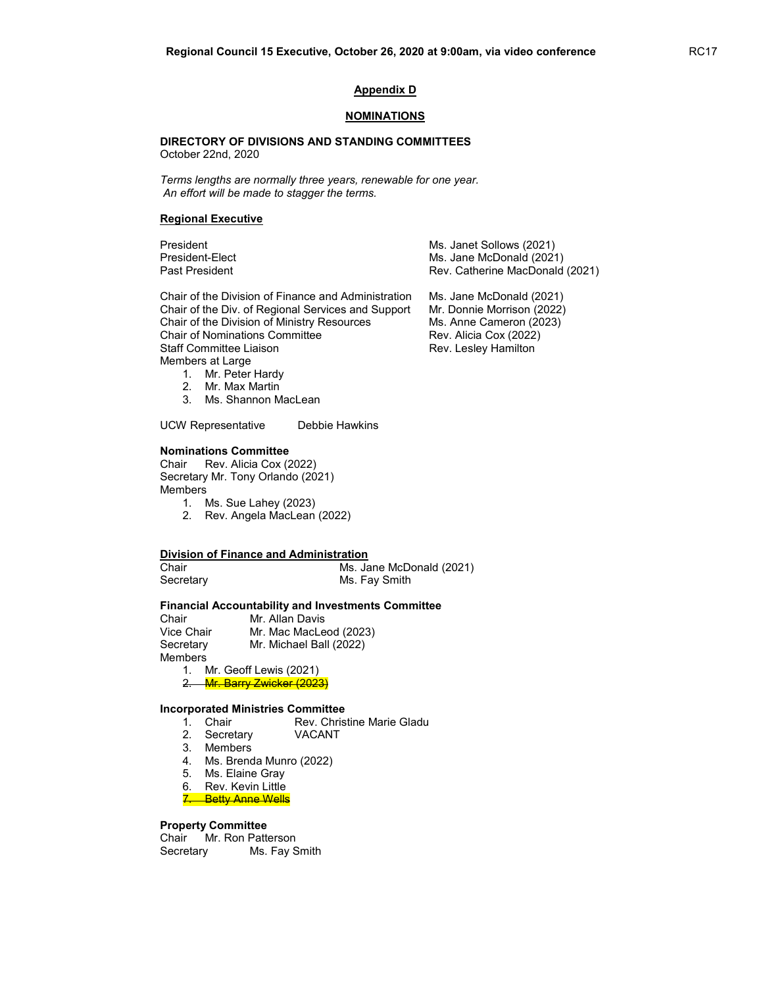#### Appendix D

#### **NOMINATIONS**

#### DIRECTORY OF DIVISIONS AND STANDING COMMITTEES October 22nd, 2020

Terms lengths are normally three years, renewable for one year. An effort will be made to stagger the terms.

#### Regional Executive

President Ms. Janet Sollows (2021) President-Elect Ms. Jane McDonald (2021)<br>Past President MacDonald (2021) Rev. Catherine MacDonald Rev. Catherine MacDonald (2021)

Chair of the Division of Finance and Administration Ms. Jane McDonald (2021) Chair of the Div. of Regional Services and Support Mr. Donnie Morrison (2022) Chair of the Division of Ministry Resources Ms. Anne Cameron (2023) Chair of Nominations Committee Rev. Alicia Cox (2022) Staff Committee Liaison **Rev. Lesley Hamilton** Members at Large

1. Mr. Peter Hardy 2. Mr. Max Martin

3. Ms. Shannon MacLean

UCW Representative Debbie Hawkins

#### Nominations Committee

Chair Rev. Alicia Cox (2022) Secretary Mr. Tony Orlando (2021) **Members** 

- 1. Ms. Sue Lahey (2023) 2. Rev. Angela MacLean (2022)
- 

# Division of Finance and Administration

Chair Ms. Jane McDonald (2021) Secretary **Ms. Fay Smith** 

#### Financial Accountability and Investments Committee

Chair Mr. Allan Davis Vice Chair Mr. Mac MacLeod (2023) Secretary Mr. Michael Ball (2022) Members

1. Mr. Geoff Lewis (2021) 2. Mr. Barry Zwicker (2023)

# **Incorporated Ministries Committee**<br>1. Chair Rev. Chris

Rev. Christine Marie Gladu<br>VACANT

- 2. Secretary
- 3. Members
- 4. Ms. Brenda Munro (2022)
- 5. Ms. Elaine Gray
- 6. Rev. Kevin Little
- 7. Betty Anne Wells

#### Property Committee

Chair Mr. Ron Patterson Secretary Ms. Fay Smith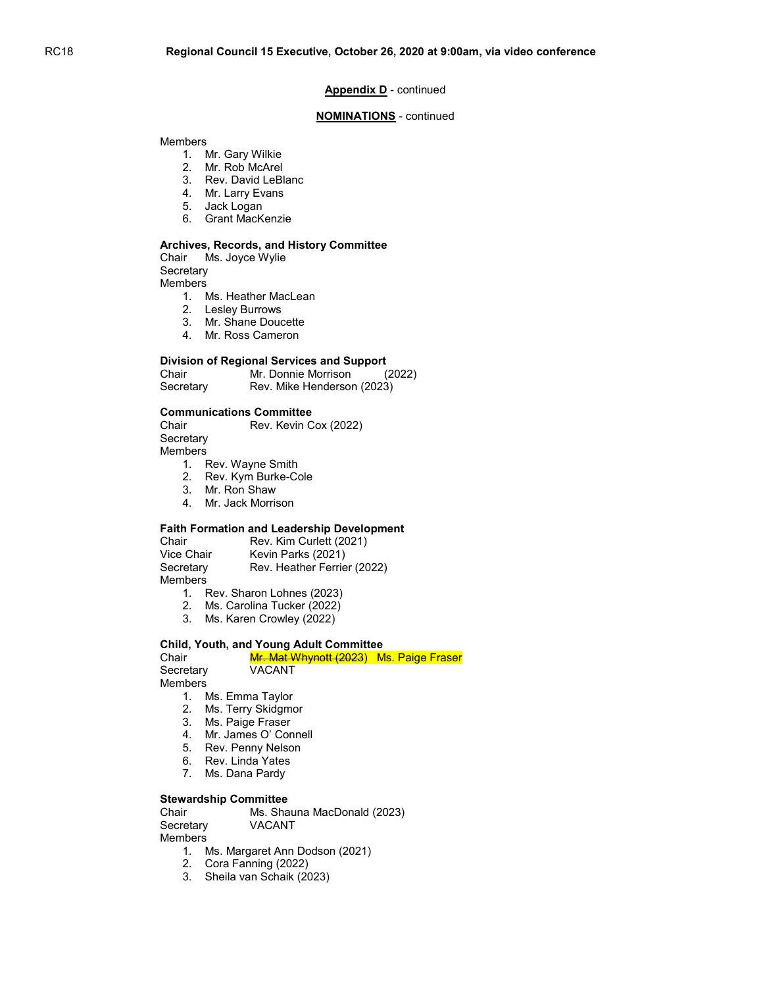#### NOMINATIONS - continued

#### **Members**

- 1. Mr. Gary Wilkie
- 2. Mr. Rob McArel
- 3. Rev. David LeBlanc
- 4. Mr. Larry Evans
- 5. Jack Logan
- 6. Grant MacKenzie

#### Archives, Records, and History Committee

Chair Ms. Joyce Wylie **Secretary** 

**Members** 

- 1. Ms. Heather MacLean
- 2. Lesley Burrows
- 3. Mr. Shane Doucette
- 4. Mr. Ross Cameron

#### Division of Regional Services and Support

| Chair     | Mr. Donnie Morrison        | (2022) |
|-----------|----------------------------|--------|
| Secretary | Rev. Mike Henderson (2023) |        |

#### Communications Committee

Chair Rev. Kevin Cox (2022) **Secretary** 

**Members** 

- 1. Rev. Wayne Smith
- 2. Rev. Kym Burke-Cole
- 3. Mr. Ron Shaw
- 4. Mr. Jack Morrison

#### Faith Formation and Leadership Development

Chair Rev. Kim Curlett (2021)<br>Vice Chair Kevin Parks (2021) Kevin Parks (2021) Secretary Rev. Heather Ferrier (2022) **Members** 

- 1. Rev. Sharon Lohnes (2023)
- 2. Ms. Carolina Tucker (2022)
- 3. Ms. Karen Crowley (2022)

#### Child, Youth, and Young Adult Committee

| Chair     | Mr. Mat Whynott (2023) Ms. Paige Fraser |  |
|-----------|-----------------------------------------|--|
| Secretary | VACANT                                  |  |
| . .       |                                         |  |

Members

- 1. Ms. Emma Taylor
- 2. Ms. Terry Skidgmor
- 3. Ms. Paige Fraser
- 4. Mr. James O' Connell
- 5. Rev. Penny Nelson
- 6. Rev. Linda Yates
- 7. Ms. Dana Pardy

#### Stewardship Committee

Chair Ms. Shauna MacDonald (2023) Secretary VACANT

Members

- 1. Ms. Margaret Ann Dodson (2021)
- 2. Cora Fanning (2022)
- 3. Sheila van Schaik (2023)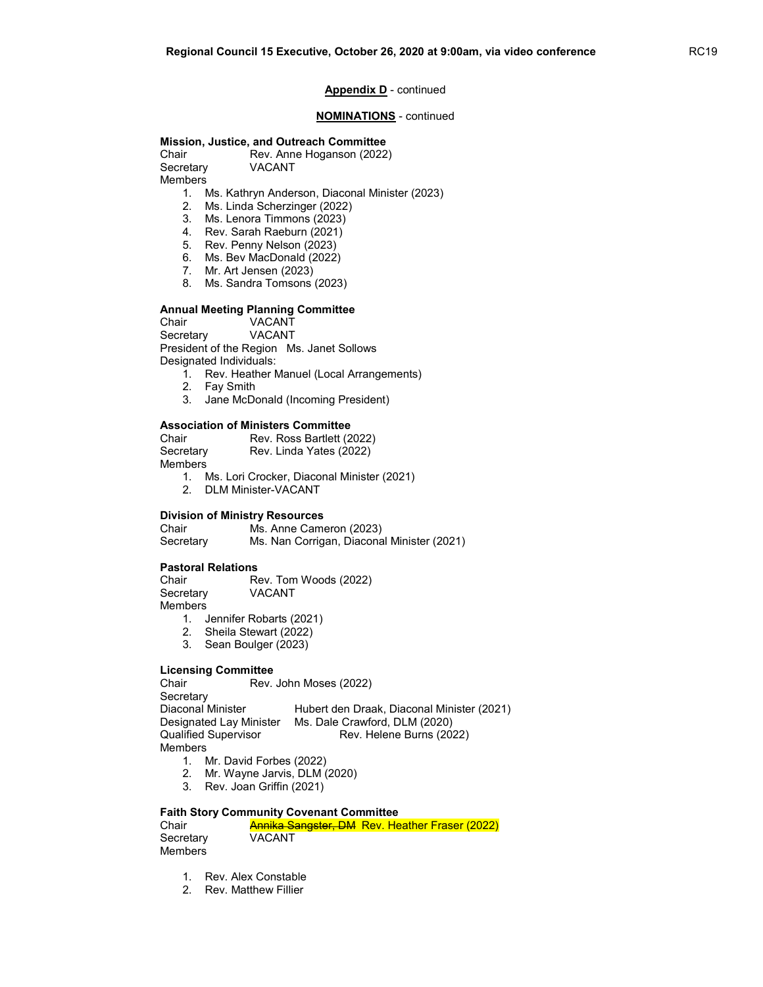## NOMINATIONS - continued

# Mission, Justice, and Outreach Committee

Chair Rev. Anne Hoganson (2022) Secretary VACANT

Members

- 1. Ms. Kathryn Anderson, Diaconal Minister (2023)
- 2. Ms. Linda Scherzinger (2022)
- 3. Ms. Lenora Timmons (2023)
- 4. Rev. Sarah Raeburn (2021)
- 5. Rev. Penny Nelson (2023)
- 6. Ms. Bev MacDonald (2022)
- 7. Mr. Art Jensen (2023)
- 8. Ms. Sandra Tomsons (2023)

#### Annual Meeting Planning Committee

Chair VACANT Secretary VACANT President of the Region Ms. Janet Sollows Designated Individuals:

- 1. Rev. Heather Manuel (Local Arrangements)
- 2. Fay Smith
- 3. Jane McDonald (Incoming President)

#### Association of Ministers Committee

| Chair          | Rev. Ross Bartlett (2022) |
|----------------|---------------------------|
| Secretary      | Rev. Linda Yates (2022)   |
| <b>Members</b> |                           |

- 1. Ms. Lori Crocker, Diaconal Minister (2021)
- 2. DLM Minister-VACANT

#### Division of Ministry Resources

Chair Ms. Anne Cameron (2023) Secretary Ms. Nan Corrigan, Diaconal Minister (2021)

#### Pastoral Relations

Chair Rev. Tom Woods (2022)<br>Secretary VACANT VACANT **Members** 

- 1. Jennifer Robarts (2021)
- 2. Sheila Stewart (2022)
- 3. Sean Boulger (2023)

#### Licensing Committee

Chair Rev. John Moses (2022) **Secretary** Diaconal Minister Hubert den Draak, Diaconal Minister (2021) Designated Lay Minister Ms. Dale Crawford, DLM (2020) Qualified Supervisor Rev. Helene Burns (2022) Members

- 1. Mr. David Forbes (2022)
- 2. Mr. Wayne Jarvis, DLM (2020)
- 3. Rev. Joan Griffin (2021)

#### Faith Story Community Covenant Committee

| Chair     | <b>Annika Sangster, DM Rev. Heather Fraser (2022)</b> |
|-----------|-------------------------------------------------------|
| Secretary | <b>VACANT</b>                                         |
| Members   |                                                       |

- 1. Rev. Alex Constable
- 2. Rev. Matthew Fillier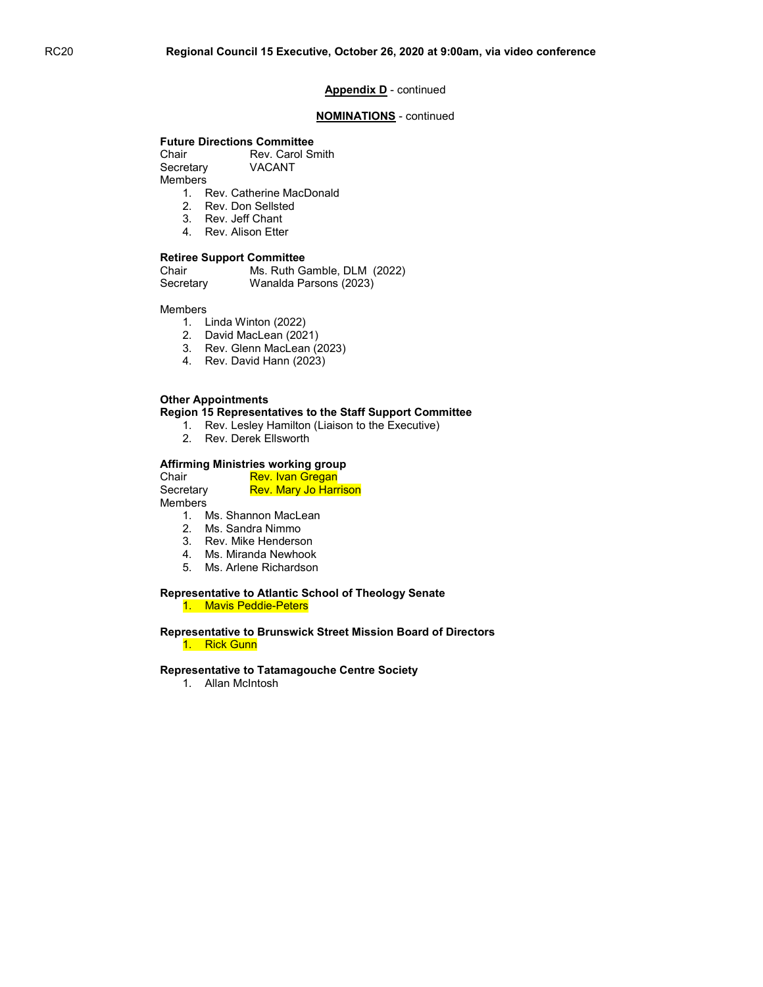#### NOMINATIONS - continued

#### Future Directions Committee

Chair Rev. Carol Smith Secretary VACANT **Members** 

1. Rev. Catherine MacDonald

- 2. Rev. Don Sellsted
- 3. Rev. Jeff Chant
- 4. Rev. Alison Etter

#### Retiree Support Committee

| Chair     | Ms. Ruth Gamble, DLM (2022) |
|-----------|-----------------------------|
| Secretary | Wanalda Parsons (2023)      |

Members

- 1. Linda Winton (2022)
- 2. David MacLean (2021)
- 3. Rev. Glenn MacLean (2023)
- 4. Rev. David Hann (2023)

#### Other Appointments

Region 15 Representatives to the Staff Support Committee

- 1. Rev. Lesley Hamilton (Liaison to the Executive)
- 2. Rev. Derek Ellsworth

## Affirming Ministries working group

Chair Rev. Ivan Gregan Secretary Rev. Mary Jo Harrison **Members** 

- 1. Ms. Shannon MacLean
- 2. Ms. Sandra Nimmo
- 3. Rev. Mike Henderson
- 4. Ms. Miranda Newhook
- 5. Ms. Arlene Richardson

#### Representative to Atlantic School of Theology Senate 1. Mavis Peddie-Peters

#### Representative to Brunswick Street Mission Board of Directors 1. Rick Gunn

#### Representative to Tatamagouche Centre Society

1. Allan McIntosh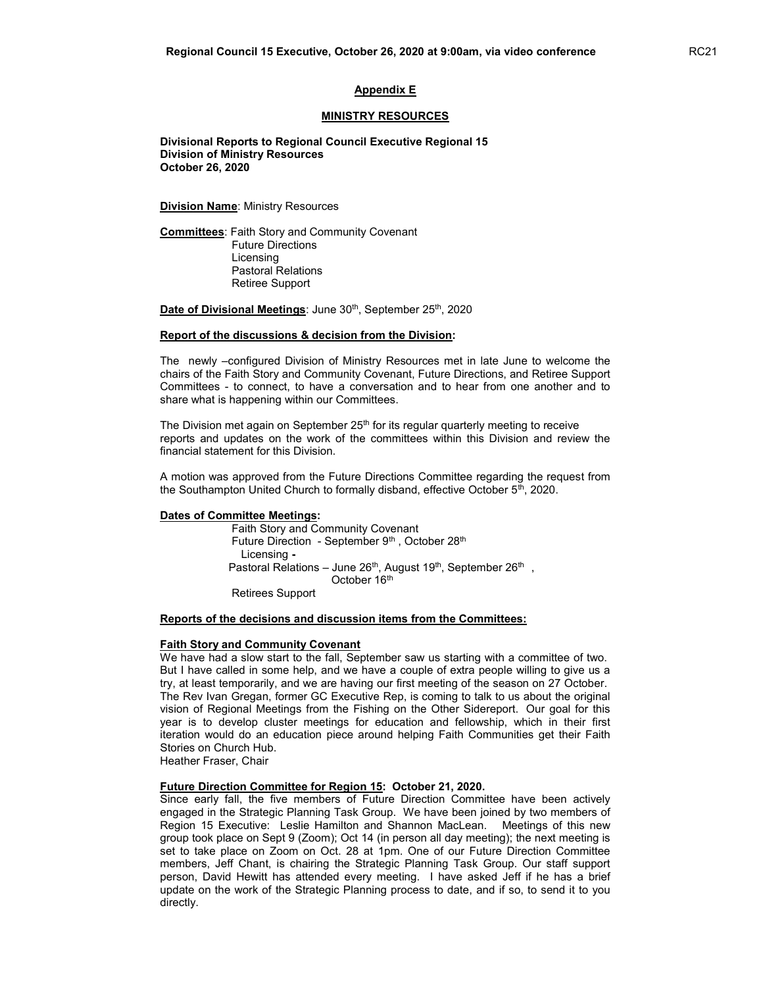#### MINISTRY RESOURCES

 Divisional Reports to Regional Council Executive Regional 15 Division of Ministry Resources October 26, 2020

**Division Name: Ministry Resources** 

Committees: Faith Story and Community Covenant Future Directions Licensing Pastoral Relations Retiree Support

Date of Divisional Meetings: June 30<sup>th</sup>, September 25<sup>th</sup>, 2020

#### Report of the discussions & decision from the Division:

The newly –configured Division of Ministry Resources met in late June to welcome the chairs of the Faith Story and Community Covenant, Future Directions, and Retiree Support Committees - to connect, to have a conversation and to hear from one another and to share what is happening within our Committees.

The Division met again on September 25<sup>th</sup> for its regular quarterly meeting to receive reports and updates on the work of the committees within this Division and review the financial statement for this Division.

A motion was approved from the Future Directions Committee regarding the request from the Southampton United Church to formally disband, effective October  $5<sup>th</sup>$ , 2020.

#### Dates of Committee Meetings:

 Faith Story and Community Covenant Future Direction - September 9<sup>th</sup>, October 28<sup>th</sup> Licensing - Pastoral Relations – June 26 $^{\text{th}}$ , August 19 $^{\text{th}}$ , September 26 $^{\text{th}}$  , October 16<sup>th</sup> Retirees Support

#### Reports of the decisions and discussion items from the Committees:

#### Faith Story and Community Covenant

We have had a slow start to the fall, September saw us starting with a committee of two. But I have called in some help, and we have a couple of extra people willing to give us a try, at least temporarily, and we are having our first meeting of the season on 27 October. The Rev Ivan Gregan, former GC Executive Rep, is coming to talk to us about the original vision of Regional Meetings from the Fishing on the Other Sidereport. Our goal for this year is to develop cluster meetings for education and fellowship, which in their first iteration would do an education piece around helping Faith Communities get their Faith Stories on Church Hub.

Heather Fraser, Chair

#### Future Direction Committee for Region 15: October 21, 2020.

Since early fall, the five members of Future Direction Committee have been actively engaged in the Strategic Planning Task Group. We have been joined by two members of Region 15 Executive: Leslie Hamilton and Shannon MacLean. Meetings of this new group took place on Sept 9 (Zoom); Oct 14 (in person all day meeting); the next meeting is set to take place on Zoom on Oct. 28 at 1pm. One of our Future Direction Committee members, Jeff Chant, is chairing the Strategic Planning Task Group. Our staff support person, David Hewitt has attended every meeting. I have asked Jeff if he has a brief update on the work of the Strategic Planning process to date, and if so, to send it to you directly.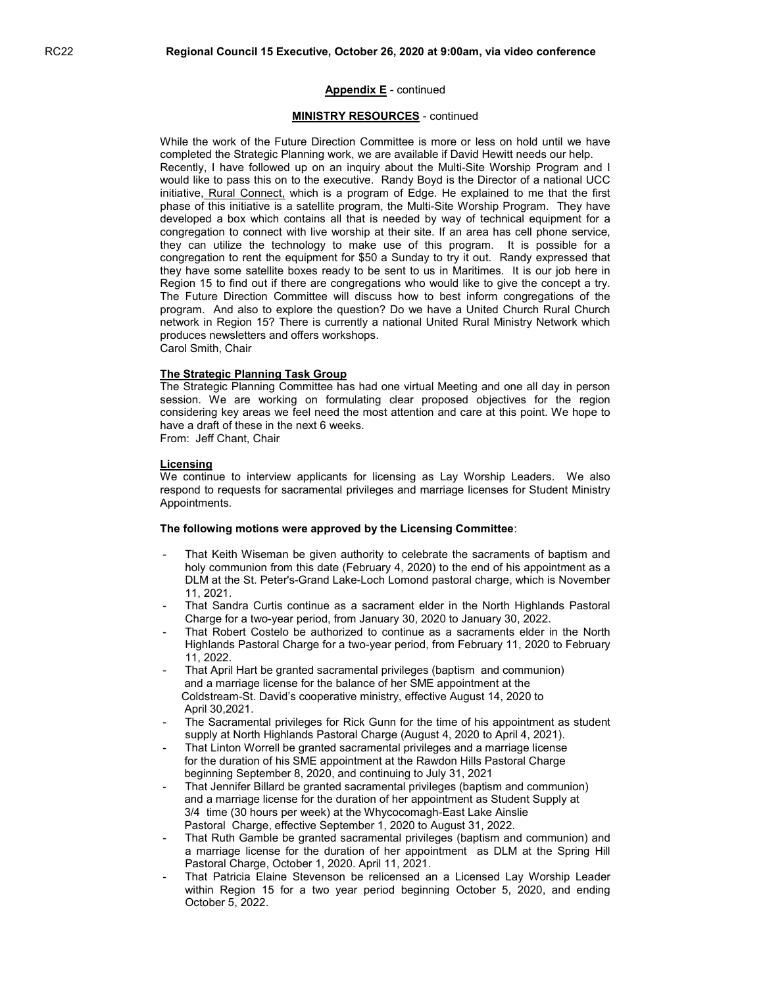#### MINISTRY RESOURCES - continued

While the work of the Future Direction Committee is more or less on hold until we have completed the Strategic Planning work, we are available if David Hewitt needs our help. Recently, I have followed up on an inquiry about the Multi-Site Worship Program and I would like to pass this on to the executive. Randy Boyd is the Director of a national UCC initiative, Rural Connect, which is a program of Edge. He explained to me that the first phase of this initiative is a satellite program, the Multi-Site Worship Program. They have developed a box which contains all that is needed by way of technical equipment for a congregation to connect with live worship at their site. If an area has cell phone service, they can utilize the technology to make use of this program. It is possible for a congregation to rent the equipment for \$50 a Sunday to try it out. Randy expressed that they have some satellite boxes ready to be sent to us in Maritimes. It is our job here in Region 15 to find out if there are congregations who would like to give the concept a try. The Future Direction Committee will discuss how to best inform congregations of the program. And also to explore the question? Do we have a United Church Rural Church network in Region 15? There is currently a national United Rural Ministry Network which produces newsletters and offers workshops. Carol Smith, Chair

#### The Strategic Planning Task Group

The Strategic Planning Committee has had one virtual Meeting and one all day in person session. We are working on formulating clear proposed objectives for the region considering key areas we feel need the most attention and care at this point. We hope to have a draft of these in the next 6 weeks.

From: Jeff Chant, Chair

#### Licensing

We continue to interview applicants for licensing as Lay Worship Leaders. We also respond to requests for sacramental privileges and marriage licenses for Student Ministry Appointments.

#### The following motions were approved by the Licensing Committee:

- That Keith Wiseman be given authority to celebrate the sacraments of baptism and holy communion from this date (February 4, 2020) to the end of his appointment as a DLM at the St. Peter's-Grand Lake-Loch Lomond pastoral charge, which is November 11, 2021.
- That Sandra Curtis continue as a sacrament elder in the North Highlands Pastoral Charge for a two-year period, from January 30, 2020 to January 30, 2022.
- That Robert Costelo be authorized to continue as a sacraments elder in the North Highlands Pastoral Charge for a two-year period, from February 11, 2020 to February 11, 2022.
- That April Hart be granted sacramental privileges (baptism and communion) and a marriage license for the balance of her SME appointment at the Coldstream-St. David's cooperative ministry, effective August 14, 2020 to April 30,2021.
- The Sacramental privileges for Rick Gunn for the time of his appointment as student supply at North Highlands Pastoral Charge (August 4, 2020 to April 4, 2021).
- That Linton Worrell be granted sacramental privileges and a marriage license for the duration of his SME appointment at the Rawdon Hills Pastoral Charge beginning September 8, 2020, and continuing to July 31, 2021
- That Jennifer Billard be granted sacramental privileges (baptism and communion) and a marriage license for the duration of her appointment as Student Supply at 3/4 time (30 hours per week) at the Whycocomagh-East Lake Ainslie Pastoral Charge, effective September 1, 2020 to August 31, 2022.
- That Ruth Gamble be granted sacramental privileges (baptism and communion) and a marriage license for the duration of her appointment as DLM at the Spring Hill Pastoral Charge, October 1, 2020. April 11, 2021.
- That Patricia Elaine Stevenson be relicensed an a Licensed Lay Worship Leader within Region 15 for a two year period beginning October 5, 2020, and ending October 5, 2022.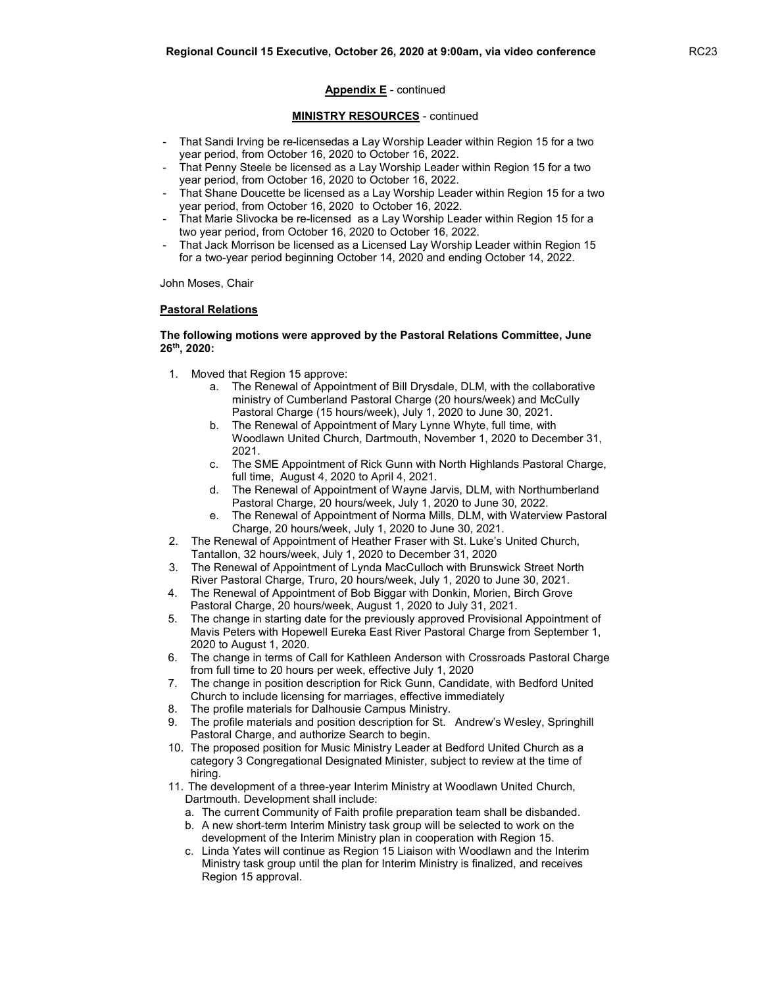#### MINISTRY RESOURCES - continued

- That Sandi Irving be re-licensedas a Lay Worship Leader within Region 15 for a two year period, from October 16, 2020 to October 16, 2022.
- That Penny Steele be licensed as a Lay Worship Leader within Region 15 for a two year period, from October 16, 2020 to October 16, 2022.
- That Shane Doucette be licensed as a Lay Worship Leader within Region 15 for a two year period, from October 16, 2020 to October 16, 2022.
- That Marie Slivocka be re-licensed as a Lay Worship Leader within Region 15 for a two year period, from October 16, 2020 to October 16, 2022.
- That Jack Morrison be licensed as a Licensed Lay Worship Leader within Region 15 for a two-year period beginning October 14, 2020 and ending October 14, 2022.

John Moses, Chair

#### Pastoral Relations

#### The following motions were approved by the Pastoral Relations Committee, June 26th, 2020:

- 1. Moved that Region 15 approve:
	- a. The Renewal of Appointment of Bill Drysdale, DLM, with the collaborative ministry of Cumberland Pastoral Charge (20 hours/week) and McCully Pastoral Charge (15 hours/week), July 1, 2020 to June 30, 2021.
	- b. The Renewal of Appointment of Mary Lynne Whyte, full time, with Woodlawn United Church, Dartmouth, November 1, 2020 to December 31, 2021.
	- c. The SME Appointment of Rick Gunn with North Highlands Pastoral Charge, full time, August 4, 2020 to April 4, 2021.
	- d. The Renewal of Appointment of Wayne Jarvis, DLM, with Northumberland Pastoral Charge, 20 hours/week, July 1, 2020 to June 30, 2022.
	- e. The Renewal of Appointment of Norma Mills, DLM, with Waterview Pastoral Charge, 20 hours/week, July 1, 2020 to June 30, 2021.
- 2. The Renewal of Appointment of Heather Fraser with St. Luke's United Church, Tantallon, 32 hours/week, July 1, 2020 to December 31, 2020
- 3. The Renewal of Appointment of Lynda MacCulloch with Brunswick Street North River Pastoral Charge, Truro, 20 hours/week, July 1, 2020 to June 30, 2021.
- 4. The Renewal of Appointment of Bob Biggar with Donkin, Morien, Birch Grove Pastoral Charge, 20 hours/week, August 1, 2020 to July 31, 2021.
- 5. The change in starting date for the previously approved Provisional Appointment of Mavis Peters with Hopewell Eureka East River Pastoral Charge from September 1, 2020 to August 1, 2020.
- 6. The change in terms of Call for Kathleen Anderson with Crossroads Pastoral Charge from full time to 20 hours per week, effective July 1, 2020
- 7. The change in position description for Rick Gunn, Candidate, with Bedford United Church to include licensing for marriages, effective immediately
- 8. The profile materials for Dalhousie Campus Ministry.
- 9. The profile materials and position description for St. Andrew's Wesley, Springhill Pastoral Charge, and authorize Search to begin.
- 10. The proposed position for Music Ministry Leader at Bedford United Church as a category 3 Congregational Designated Minister, subject to review at the time of hiring.
- 11. The development of a three-year Interim Ministry at Woodlawn United Church, Dartmouth. Development shall include:
	- a. The current Community of Faith profile preparation team shall be disbanded.
	- b. A new short-term Interim Ministry task group will be selected to work on the development of the Interim Ministry plan in cooperation with Region 15.
	- c. Linda Yates will continue as Region 15 Liaison with Woodlawn and the Interim Ministry task group until the plan for Interim Ministry is finalized, and receives Region 15 approval.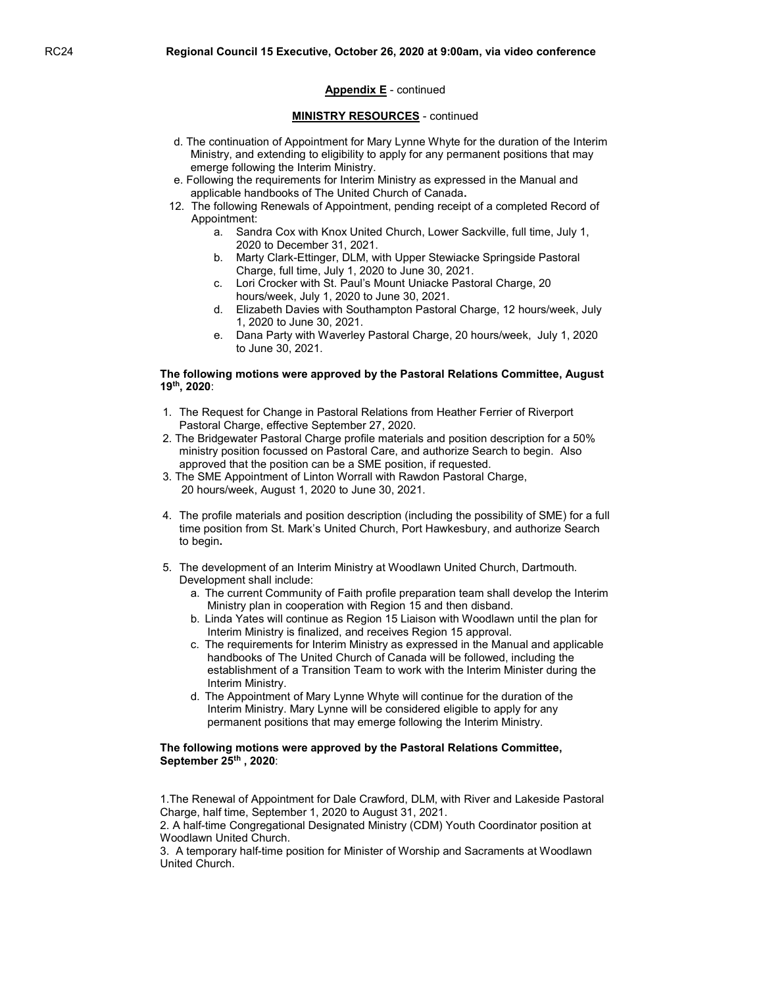#### MINISTRY RESOURCES - continued

- d. The continuation of Appointment for Mary Lynne Whyte for the duration of the Interim Ministry, and extending to eligibility to apply for any permanent positions that may emerge following the Interim Ministry.
- e. Following the requirements for Interim Ministry as expressed in the Manual and applicable handbooks of The United Church of Canada.
- 12. The following Renewals of Appointment, pending receipt of a completed Record of Appointment:
	- a. Sandra Cox with Knox United Church, Lower Sackville, full time, July 1, 2020 to December 31, 2021.
	- b. Marty Clark-Ettinger, DLM, with Upper Stewiacke Springside Pastoral Charge, full time, July 1, 2020 to June 30, 2021.
	- c. Lori Crocker with St. Paul's Mount Uniacke Pastoral Charge, 20 hours/week, July 1, 2020 to June 30, 2021.
	- d. Elizabeth Davies with Southampton Pastoral Charge, 12 hours/week, July 1, 2020 to June 30, 2021.
	- e. Dana Party with Waverley Pastoral Charge, 20 hours/week, July 1, 2020 to June 30, 2021.

#### The following motions were approved by the Pastoral Relations Committee, August 19th, 2020:

- 1. The Request for Change in Pastoral Relations from Heather Ferrier of Riverport Pastoral Charge, effective September 27, 2020.
- 2. The Bridgewater Pastoral Charge profile materials and position description for a 50% ministry position focussed on Pastoral Care, and authorize Search to begin. Also approved that the position can be a SME position, if requested.
- 3. The SME Appointment of Linton Worrall with Rawdon Pastoral Charge, 20 hours/week, August 1, 2020 to June 30, 2021.
- 4. The profile materials and position description (including the possibility of SME) for a full time position from St. Mark's United Church, Port Hawkesbury, and authorize Search to begin.
- 5. The development of an Interim Ministry at Woodlawn United Church, Dartmouth. Development shall include:
	- a. The current Community of Faith profile preparation team shall develop the Interim Ministry plan in cooperation with Region 15 and then disband.
	- b. Linda Yates will continue as Region 15 Liaison with Woodlawn until the plan for Interim Ministry is finalized, and receives Region 15 approval.
	- c. The requirements for Interim Ministry as expressed in the Manual and applicable handbooks of The United Church of Canada will be followed, including the establishment of a Transition Team to work with the Interim Minister during the Interim Ministry.
	- d. The Appointment of Mary Lynne Whyte will continue for the duration of the Interim Ministry. Mary Lynne will be considered eligible to apply for any permanent positions that may emerge following the Interim Ministry.

#### The following motions were approved by the Pastoral Relations Committee, September 25th, 2020:

1.The Renewal of Appointment for Dale Crawford, DLM, with River and Lakeside Pastoral Charge, half time, September 1, 2020 to August 31, 2021.

2. A half-time Congregational Designated Ministry (CDM) Youth Coordinator position at Woodlawn United Church.

3. A temporary half-time position for Minister of Worship and Sacraments at Woodlawn United Church.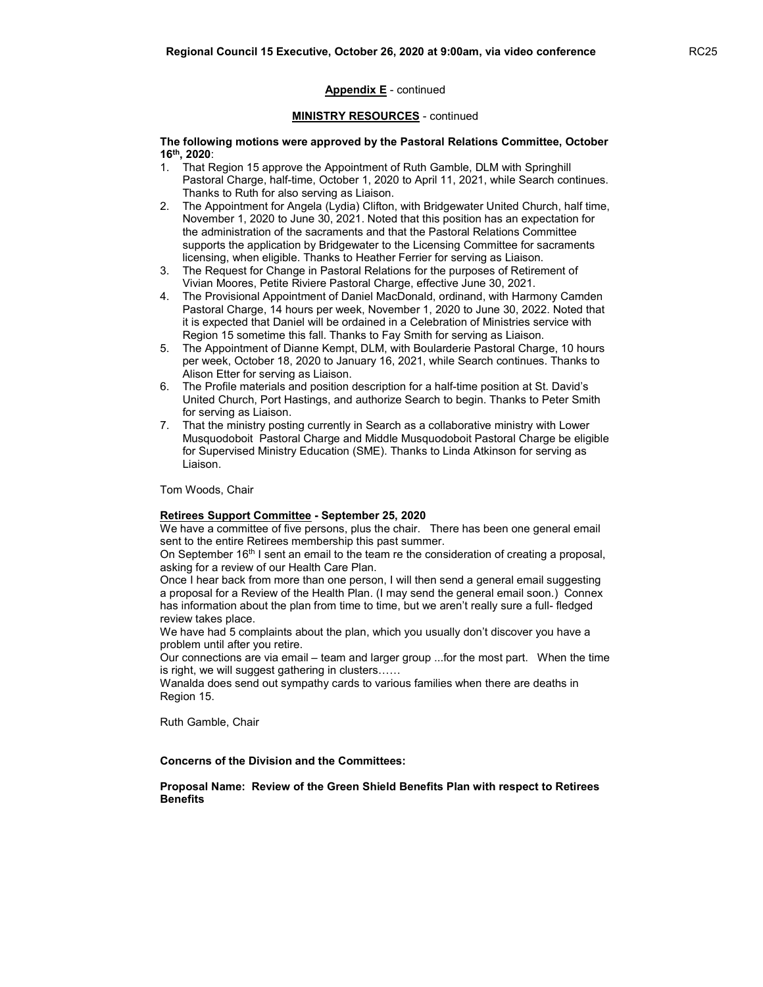#### MINISTRY RESOURCES - continued

 The following motions were approved by the Pastoral Relations Committee, October 16th, 2020:

- 1. That Region 15 approve the Appointment of Ruth Gamble, DLM with Springhill Pastoral Charge, half-time, October 1, 2020 to April 11, 2021, while Search continues. Thanks to Ruth for also serving as Liaison.
- 2. The Appointment for Angela (Lydia) Clifton, with Bridgewater United Church, half time, November 1, 2020 to June 30, 2021. Noted that this position has an expectation for the administration of the sacraments and that the Pastoral Relations Committee supports the application by Bridgewater to the Licensing Committee for sacraments licensing, when eligible. Thanks to Heather Ferrier for serving as Liaison.
- 3. The Request for Change in Pastoral Relations for the purposes of Retirement of Vivian Moores, Petite Riviere Pastoral Charge, effective June 30, 2021.
- 4. The Provisional Appointment of Daniel MacDonald, ordinand, with Harmony Camden Pastoral Charge, 14 hours per week, November 1, 2020 to June 30, 2022. Noted that it is expected that Daniel will be ordained in a Celebration of Ministries service with Region 15 sometime this fall. Thanks to Fay Smith for serving as Liaison.
- 5. The Appointment of Dianne Kempt, DLM, with Boularderie Pastoral Charge, 10 hours per week, October 18, 2020 to January 16, 2021, while Search continues. Thanks to Alison Etter for serving as Liaison.
- 6. The Profile materials and position description for a half-time position at St. David's United Church, Port Hastings, and authorize Search to begin. Thanks to Peter Smith for serving as Liaison.
- 7. That the ministry posting currently in Search as a collaborative ministry with Lower Musquodoboit Pastoral Charge and Middle Musquodoboit Pastoral Charge be eligible for Supervised Ministry Education (SME). Thanks to Linda Atkinson for serving as Liaison.

Tom Woods, Chair

#### Retirees Support Committee - September 25, 2020

We have a committee of five persons, plus the chair. There has been one general email sent to the entire Retirees membership this past summer.

On September 16<sup>th</sup> I sent an email to the team re the consideration of creating a proposal, asking for a review of our Health Care Plan.

Once I hear back from more than one person, I will then send a general email suggesting a proposal for a Review of the Health Plan. (I may send the general email soon.) Connex has information about the plan from time to time, but we aren't really sure a full- fledged review takes place.

We have had 5 complaints about the plan, which you usually don't discover you have a problem until after you retire.

Our connections are via email – team and larger group ...for the most part. When the time is right, we will suggest gathering in clusters……

Wanalda does send out sympathy cards to various families when there are deaths in Region 15.

Ruth Gamble, Chair

#### Concerns of the Division and the Committees:

 Proposal Name: Review of the Green Shield Benefits Plan with respect to Retirees **Benefits**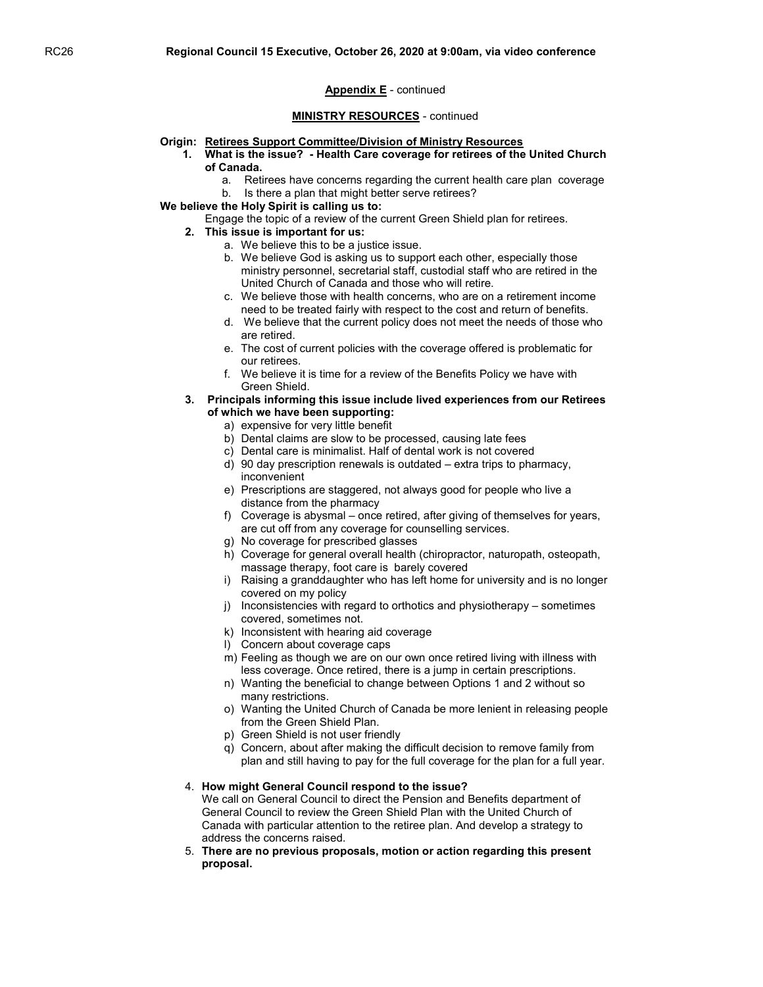#### MINISTRY RESOURCES - continued

#### Origin: Retirees Support Committee/Division of Ministry Resources

- 1. What is the issue? Health Care coverage for retirees of the United Church of Canada.
	- a. Retirees have concerns regarding the current health care plan coverage
	- b. Is there a plan that might better serve retirees?
- We believe the Holy Spirit is calling us to:
	- Engage the topic of a review of the current Green Shield plan for retirees.
	- 2. This issue is important for us:
		- a. We believe this to be a justice issue.
		- b. We believe God is asking us to support each other, especially those ministry personnel, secretarial staff, custodial staff who are retired in the United Church of Canada and those who will retire.
		- c. We believe those with health concerns, who are on a retirement income need to be treated fairly with respect to the cost and return of benefits.
		- d. We believe that the current policy does not meet the needs of those who are retired.
		- e. The cost of current policies with the coverage offered is problematic for our retirees.
		- f. We believe it is time for a review of the Benefits Policy we have with Green Shield.
	- 3. Principals informing this issue include lived experiences from our Retirees of which we have been supporting:
		- a) expensive for very little benefit
		- b) Dental claims are slow to be processed, causing late fees
		- c) Dental care is minimalist. Half of dental work is not covered
		- d) 90 day prescription renewals is outdated extra trips to pharmacy, inconvenient
		- e) Prescriptions are staggered, not always good for people who live a distance from the pharmacy
		- f) Coverage is abysmal once retired, after giving of themselves for years, are cut off from any coverage for counselling services.
		- g) No coverage for prescribed glasses
		- h) Coverage for general overall health (chiropractor, naturopath, osteopath, massage therapy, foot care is barely covered
		- i) Raising a granddaughter who has left home for university and is no longer covered on my policy
		- j) Inconsistencies with regard to orthotics and physiotherapy sometimes covered, sometimes not.
		- k) Inconsistent with hearing aid coverage
		- l) Concern about coverage caps
		- m) Feeling as though we are on our own once retired living with illness with less coverage. Once retired, there is a jump in certain prescriptions.
		- n) Wanting the beneficial to change between Options 1 and 2 without so many restrictions.
		- o) Wanting the United Church of Canada be more lenient in releasing people from the Green Shield Plan.
		- p) Green Shield is not user friendly
		- q) Concern, about after making the difficult decision to remove family from plan and still having to pay for the full coverage for the plan for a full year.

#### 4. How might General Council respond to the issue?

 We call on General Council to direct the Pension and Benefits department of General Council to review the Green Shield Plan with the United Church of Canada with particular attention to the retiree plan. And develop a strategy to address the concerns raised.

5. There are no previous proposals, motion or action regarding this present proposal.